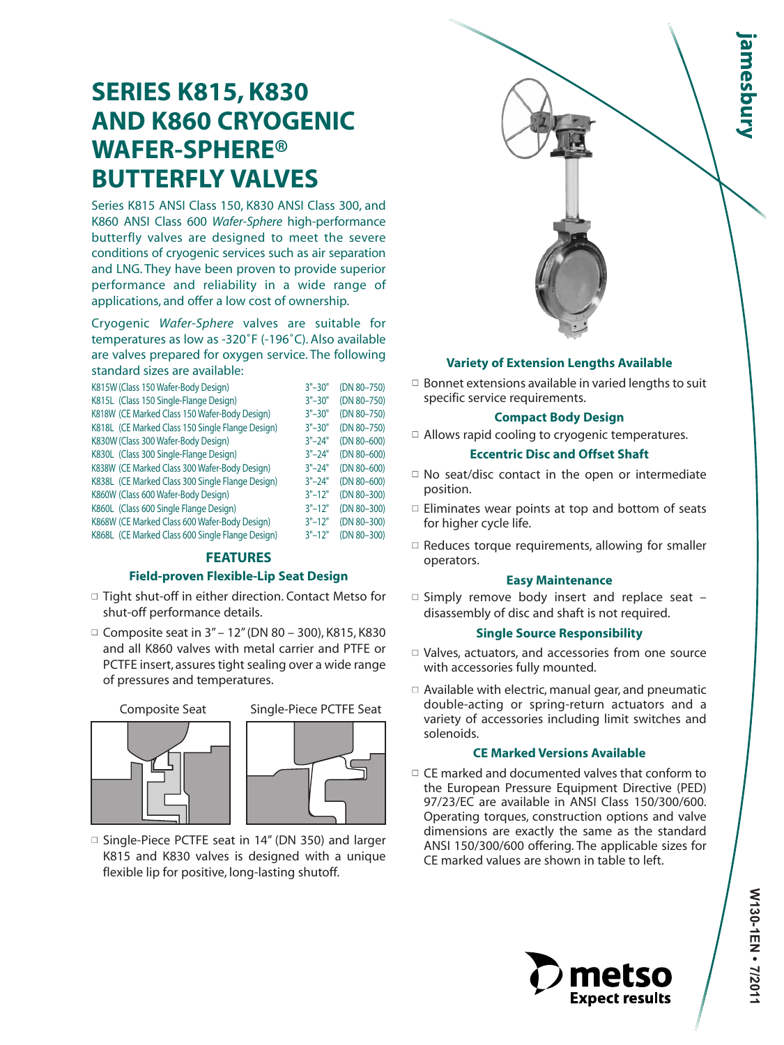# **SERIES K815, K830 AND K860 CRYOGENIC WAFER-SPHERE® BUTTERFLY VALVES**

Series K815 ANSI Class 150, K830 ANSI Class 300, and K860 ANSI Class 600 *Wafer-Sphere* high-performance butterfly valves are designed to meet the severe conditions of cryogenic services such as air separation and LNG. They have been proven to provide superior performance and reliability in a wide range of applications, and offer a low cost of ownership.

Cryogenic *Wafer-Sphere* valves are suitable for temperatures as low as -320˚F (-196˚C). Also available are valves prepared for oxygen service. The following standard sizes are available:

| K815W (Class 150 Wafer-Body Design)              | $3" - 30"$ | (DN 80-750)     |
|--------------------------------------------------|------------|-----------------|
| K815L (Class 150 Single-Flange Design)           | $3" - 30"$ | (DN 80-750)     |
| K818W (CE Marked Class 150 Wafer-Body Design)    | $3" - 30"$ | (DN 80-750)     |
| K818L (CE Marked Class 150 Single Flange Design) | $3" - 30"$ | (DN 80-750)     |
| K830W (Class 300 Wafer-Body Design)              | $3" - 24"$ | $(DN 80 - 600)$ |
| K830L (Class 300 Single-Flange Design)           | $3" - 24"$ | $(DN 80 - 600)$ |
| K838W (CE Marked Class 300 Wafer-Body Design)    | $3" - 24"$ | $(DN 80 - 600)$ |
| K838L (CE Marked Class 300 Single Flange Design) | $3" - 24"$ | $(DN 80 - 600)$ |
| K860W (Class 600 Wafer-Body Design)              | $3" - 12"$ | (DN 80-300)     |
| K860L (Class 600 Single Flange Design)           | $3" - 12"$ | (DN 80-300)     |
| K868W (CE Marked Class 600 Wafer-Body Design)    | $3" - 12"$ | (DN 80-300)     |
| K868L (CE Marked Class 600 Single Flange Design) | $3" - 12"$ | (DN 80-300)     |

#### **FEATURES**

#### **Field-proven Flexible-Lip Seat Design**

- □ Tight shut-off in either direction. Contact Metso for shut-off performance details.
- $\Box$  Composite seat in 3" 12" (DN 80 300), K815, K830 and all K860 valves with metal carrier and PTFE or PCTFE insert, assures tight sealing over a wide range of pressures and temperatures.

#### Composite Seat Single-Piece PCTFE Seat





□ Single-Piece PCTFE seat in 14" (DN 350) and larger K815 and K830 valves is designed with a unique flexible lip for positive, long-lasting shutoff.



#### **Variety of Extension Lengths Available**

 $\Box$  Bonnet extensions available in varied lengths to suit specific service requirements.

#### **Compact Body Design**

 $\Box$  Allows rapid cooling to cryogenic temperatures.

#### **Eccentric Disc and Offset Shaft**

- $\Box$  No seat/disc contact in the open or intermediate position.
- $\Box$  Eliminates wear points at top and bottom of seats for higher cycle life.
- $\Box$  Reduces torque requirements, allowing for smaller operators.

#### **Easy Maintenance**

 $\Box$  Simply remove body insert and replace seat  $\Box$ disassembly of disc and shaft is not required.

#### **Single Source Responsibility**

- □ Valves, actuators, and accessories from one source with accessories fully mounted.
- $\Box$  Available with electric, manual gear, and pneumatic double-acting or spring-return actuators and a variety of accessories including limit switches and solenoids.

#### **CE Marked Versions Available**

 $\Box$  CE marked and documented valves that conform to the European Pressure Equipment Directive (PED) 97/23/EC are available in ANSI Class 150/300/600. Operating torques, construction options and valve dimensions are exactly the same as the standard ANSI 150/300/600 offering. The applicable sizes for CE marked values are shown in table to left.

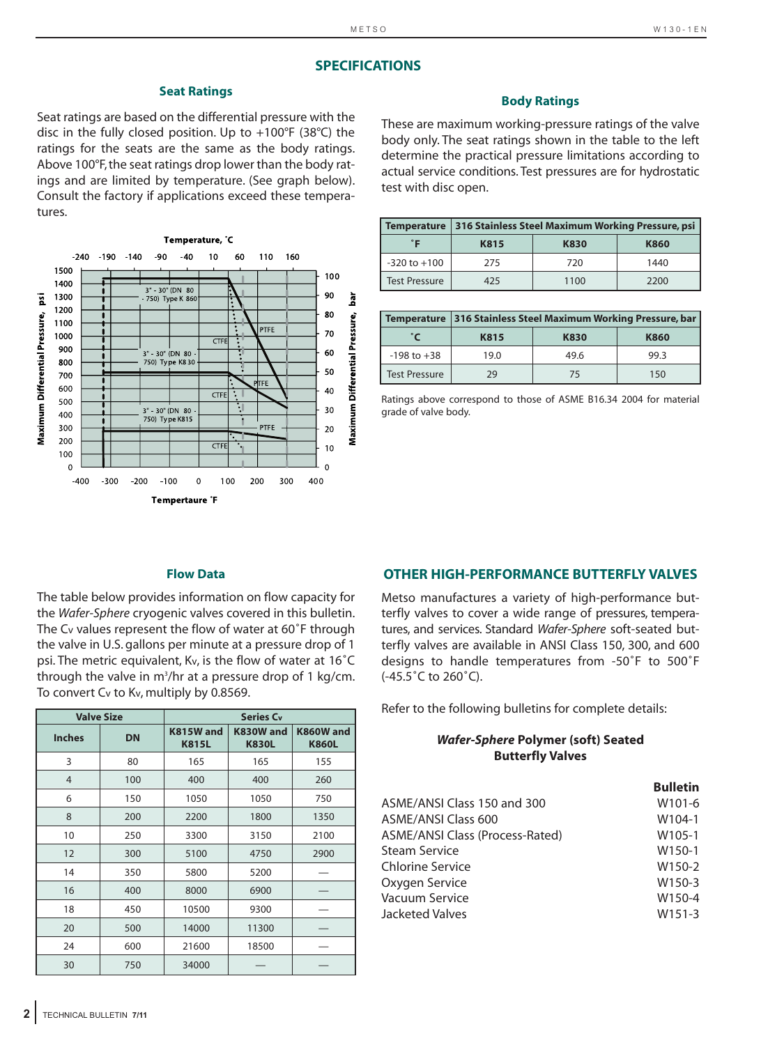#### **SPECIFICATIONS**

#### **Seat Ratings**

Seat ratings are based on the differential pressure with the disc in the fully closed position. Up to +100°F (38°C) the ratings for the seats are the same as the body ratings. Above 100°F, the seat ratings drop lower than the body ratings and are limited by temperature. (See graph below). Consult the factory if applications exceed these temperatures.



#### **Body Ratings**

These are maximum working-pressure ratings of the valve body only. The seat ratings shown in the table to the left determine the practical pressure limitations according to actual service conditions. Test pressures are for hydrostatic test with disc open.

| <b>Temperature</b>   |      | 316 Stainless Steel Maximum Working Pressure, psi |      |
|----------------------|------|---------------------------------------------------|------|
|                      | K815 | K830                                              | K860 |
| $-320$ to $+100$     | 275  | 720                                               | 1440 |
| <b>Test Pressure</b> | 425  | 1100                                              | 2200 |

|                      |      | Temperature   316 Stainless Steel Maximum Working Pressure, bar |      |
|----------------------|------|-----------------------------------------------------------------|------|
|                      | K815 | K830                                                            | K860 |
| $-198$ to $+38$      | 19.0 | 49.6                                                            | 99.3 |
| <b>Test Pressure</b> | 29   | 75                                                              | 150  |

Ratings above correspond to those of ASME B16.34 2004 for material grade of valve body.

#### **Flow Data**

The table below provides information on flow capacity for the *Wafer-Sphere* cryogenic valves covered in this bulletin. The Cv values represent the flow of water at 60˚F through the valve in U.S. gallons per minute at a pressure drop of 1 psi. The metric equivalent, Kv, is the flow of water at 16˚C through the valve in m<sup>3</sup>/hr at a pressure drop of 1 kg/cm. To convert Cv to Kv, multiply by 0.8569.

|                | <b>Valve Size</b> |                           | <b>Series Cv</b>          |                           |
|----------------|-------------------|---------------------------|---------------------------|---------------------------|
| <b>Inches</b>  | <b>DN</b>         | K815W and<br><b>K815L</b> | K830W and<br><b>K830L</b> | K860W and<br><b>K860L</b> |
| 3              | 80                | 165                       | 165                       | 155                       |
| $\overline{4}$ | 100               | 400                       | 400                       | 260                       |
| 6              | 150               | 1050                      | 1050                      | 750                       |
| 8              | 200               | 2200                      | 1800                      | 1350                      |
| 10             | 250               | 3300                      | 3150                      | 2100                      |
| 12             | 300               | 5100                      | 4750                      | 2900                      |
| 14             | 350               | 5800                      | 5200                      |                           |
| 16             | 400               | 8000                      | 6900                      |                           |
| 18             | 450               | 10500                     | 9300                      |                           |
| 20             | 500               | 14000                     | 11300                     |                           |
| 24             | 600               | 21600                     | 18500                     |                           |
| 30             | 750               | 34000                     |                           |                           |

#### **OTHER HIGH-PERFORMANCE BUTTERFLY VALVES**

Metso manufactures a variety of high-performance butterfly valves to cover a wide range of pressures, temperatures, and services. Standard *Wafer-Sphere* soft-seated butterfly valves are available in ANSI Class 150, 300, and 600 designs to handle temperatures from -50˚F to 500˚F (-45.5˚C to 260˚C).

Refer to the following bulletins for complete details:

#### *Wafer-Sphere* **Polymer (soft) Seated Butterfly Valves**

|                                 | <b>Bulletin</b>     |
|---------------------------------|---------------------|
| ASME/ANSI Class 150 and 300     | W <sub>101-6</sub>  |
| <b>ASME/ANSI Class 600</b>      | W104-1              |
| ASME/ANSI Class (Process-Rated) | W105-1              |
| Steam Service                   | W <sub>150-1</sub>  |
| Chlorine Service                | W150-2              |
| Oxygen Service                  | W150-3              |
| Vacuum Service                  | W150-4              |
| Jacketed Valves                 | W <sub>151</sub> -3 |
|                                 |                     |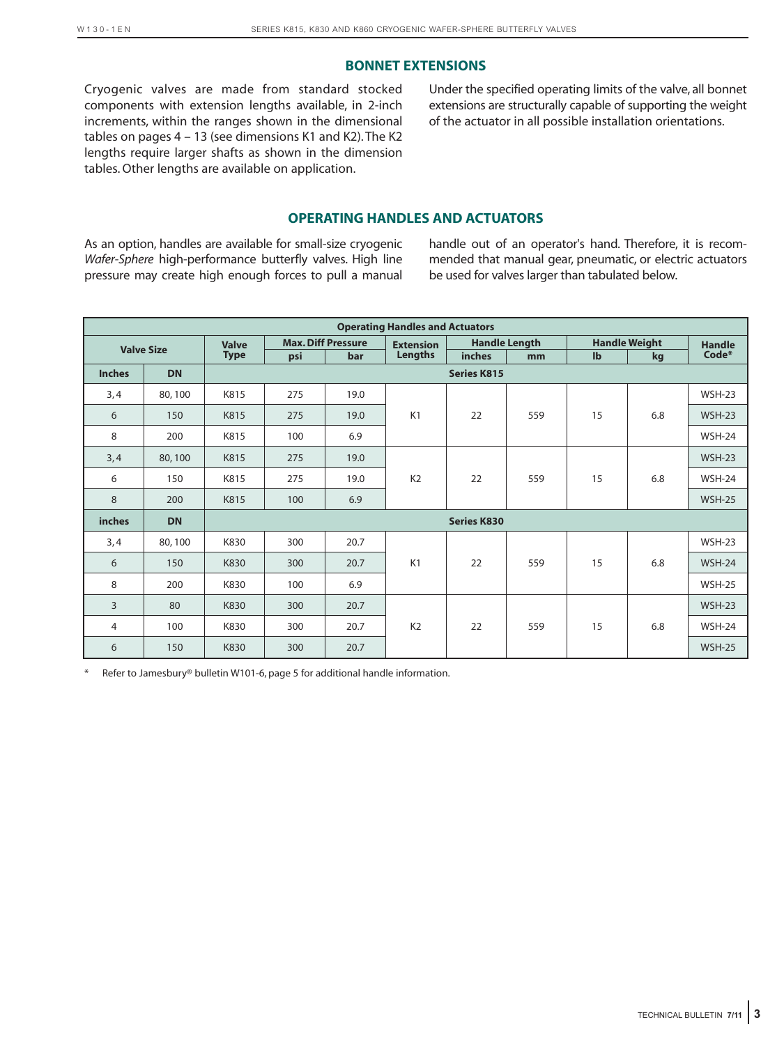### **BONNET EXTENSIONS**

Cryogenic valves are made from standard stocked components with extension lengths available, in 2-inch increments, within the ranges shown in the dimensional tables on pages 4 – 13 (see dimensions K1 and K2). The K2 lengths require larger shafts as shown in the dimension tables. Other lengths are available on application.

Under the specified operating limits of the valve, all bonnet extensions are structurally capable of supporting the weight of the actuator in all possible installation orientations.

### **OPERATING HANDLES AND ACTUATORS**

As an option, handles are available for small-size cryogenic *Wafer-Sphere* high-performance butterfly valves. High line pressure may create high enough forces to pull a manual handle out of an operator's hand. Therefore, it is recommended that manual gear, pneumatic, or electric actuators be used for valves larger than tabulated below.

|               |                   |              |     |                           | <b>Operating Handles and Actuators</b> |                    |                      |    |                      |               |
|---------------|-------------------|--------------|-----|---------------------------|----------------------------------------|--------------------|----------------------|----|----------------------|---------------|
|               | <b>Valve Size</b> | <b>Valve</b> |     | <b>Max. Diff Pressure</b> | <b>Extension</b>                       |                    | <b>Handle Length</b> |    | <b>Handle Weight</b> | <b>Handle</b> |
|               |                   | <b>Type</b>  | psi | bar                       | Lengths                                | inches             | mm                   | lb | kg                   | Code*         |
| <b>Inches</b> | <b>DN</b>         |              |     |                           |                                        | <b>Series K815</b> |                      |    |                      |               |
| 3,4           | 80,100            | K815         | 275 | 19.0                      |                                        |                    |                      |    |                      | $WSH-23$      |
| 6             | 150               | K815         | 275 | 19.0                      | K1                                     | 22                 | 559                  | 15 | 6.8                  | <b>WSH-23</b> |
| 8             | 200               | K815         | 100 | 6.9                       |                                        |                    |                      |    |                      | <b>WSH-24</b> |
| 3,4           | 80,100            | K815         | 275 | 19.0                      |                                        |                    |                      |    |                      | $WSH-23$      |
| 6             | 150               | K815         | 275 | 19.0                      | K <sub>2</sub>                         | 22                 | 559                  | 15 | 6.8                  | $WSH-24$      |
| 8             | 200               | K815         | 100 | 6.9                       |                                        |                    |                      |    |                      | <b>WSH-25</b> |
| <i>inches</i> | <b>DN</b>         |              |     |                           |                                        | <b>Series K830</b> |                      |    |                      |               |
| 3,4           | 80,100            | K830         | 300 | 20.7                      |                                        |                    |                      |    |                      | $WSH-23$      |
| 6             | 150               | K830         | 300 | 20.7                      | K1                                     | 22                 | 559                  | 15 | 6.8                  | $WSH-24$      |
| 8             | 200               | K830         | 100 | 6.9                       |                                        |                    |                      |    |                      | <b>WSH-25</b> |
| 3             | 80                | K830         | 300 | 20.7                      |                                        |                    |                      |    |                      | <b>WSH-23</b> |
| 4             | 100               | K830         | 300 | 20.7                      | K <sub>2</sub>                         | 22                 | 559                  | 15 | 6.8                  | <b>WSH-24</b> |
| 6             | 150               | K830         | 300 | 20.7                      |                                        |                    |                      |    |                      | <b>WSH-25</b> |

Refer to Jamesbury® bulletin W101-6, page 5 for additional handle information.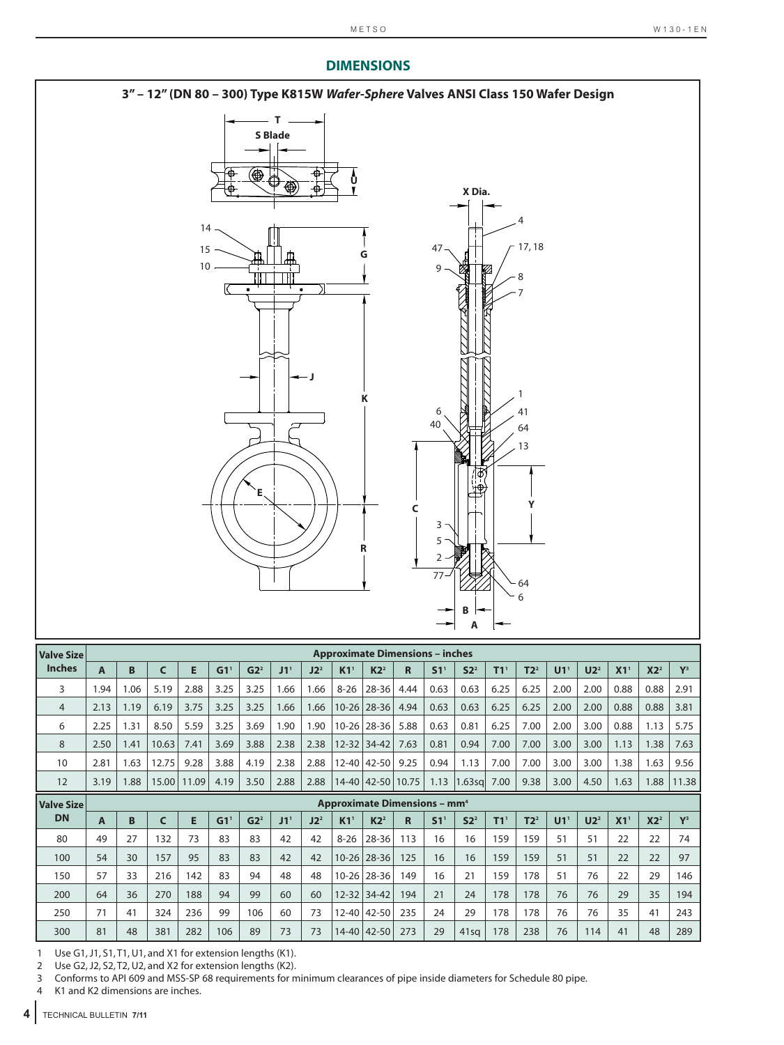# **DIMENSIONS**



| <b>Valve Size</b> |      |                                                |       |       |                   |                 |                 |                 |                   | <b>Approximate Dimensions - inches</b> |       |                 |                 |                   |                 |                 |                 |                   |                 |       |
|-------------------|------|------------------------------------------------|-------|-------|-------------------|-----------------|-----------------|-----------------|-------------------|----------------------------------------|-------|-----------------|-----------------|-------------------|-----------------|-----------------|-----------------|-------------------|-----------------|-------|
| <b>Inches</b>     | A    | B                                              | C     | Е     | $G1$ <sup>1</sup> | G2 <sup>2</sup> | J1 <sup>1</sup> | $J2^2$          | K1 <sup>1</sup>   | $K2^2$                                 | R     | S1 <sup>1</sup> | S2 <sup>2</sup> | $T1$ <sup>1</sup> | $T2^2$          | U1 <sup>1</sup> | U2 <sup>2</sup> | X1 <sup>1</sup>   | X2 <sup>2</sup> | $Y^3$ |
| 3                 | 1.94 | 1.06                                           | 5.19  | 2.88  | 3.25              | 3.25            | 1.66            | 1.66            | $8 - 26$          | 28-36                                  | 4.44  | 0.63            | 0.63            | 6.25              | 6.25            | 2.00            | 2.00            | 0.88              | 0.88            | 2.91  |
| 4                 | 2.13 | 1.19                                           | 6.19  | 3.75  | 3.25              | 3.25            | 1.66            | 1.66            | $10 - 26$         | 28-36                                  | 4.94  | 0.63            | 0.63            | 6.25              | 6.25            | 2.00            | 2.00            | 0.88              | 0.88            | 3.81  |
| 6                 | 2.25 | 1.31                                           | 8.50  | 5.59  | 3.25              | 3.69            | 1.90            | 1.90            | $10 - 26$         | 28-36                                  | 5.88  | 0.63            | 0.81            | 6.25              | 7.00            | 2.00            | 3.00            | 0.88              | 1.13            | 5.75  |
| 8                 | 2.50 | 1.41                                           | 10.63 | 7.41  | 3.69              | 3.88            | 2.38            | 2.38            | $12 - 32$         | $34 - 42$                              | 7.63  | 0.81            | 0.94            | 7.00              | 7.00            | 3.00            | 3.00            | 1.13              | 1.38            | 7.63  |
| 10                | 2.81 | 1.63                                           | 12.75 | 9.28  | 3.88              | 4.19            | 2.38            | 2.88            | $12 - 40$         | 42-50                                  | 9.25  | 0.94            | 1.13            | 7.00              | 7.00            | 3.00            | 3.00            | 1.38              | 1.63            | 9.56  |
| 12                | 3.19 | 1.88                                           | 15.00 | 11.09 | 4.19              | 3.50            | 2.88            | 2.88            | $14 - 40$         | $42 - 50$                              | 10.75 | 1.13            | $1.63$ sq       | 7.00              | 9.38            | 3.00            | 4.50            | 1.63              | 1.88            | 11.38 |
| l Valve Size      |      | <b>Approximate Dimensions - mm<sup>4</sup></b> |       |       |                   |                 |                 |                 |                   |                                        |       |                 |                 |                   |                 |                 |                 |                   |                 |       |
| <b>DN</b>         | A    | B                                              | C     | Е     | G1 <sup>T</sup>   | G2 <sup>2</sup> | J1 <sup>1</sup> | J2 <sup>2</sup> | $K1$ <sup>1</sup> | K2 <sup>2</sup>                        | R     | S1 <sup>T</sup> | S2 <sup>2</sup> | $T1$ <sup>1</sup> | T2 <sup>2</sup> | U1 <sup>1</sup> | U2 <sup>2</sup> | $X1$ <sup>1</sup> | X2 <sup>2</sup> | $Y^3$ |
| 80                | 49   | 27                                             | 132   | 73    | 83                | 83              | 42              | 42              | $8 - 26$          | 28-36                                  | 113   | 16              | 16              | 159               | 159             | 51              | 51              | 22                | 22              | 74    |
| 100               | 54   | 30                                             | 157   | 95    | 83                | 83              | 42              | 42              | $10 - 26$         | 28-36                                  | 125   | 16              | 16              | 159               | 159             | 51              | 51              | 22                | 22              | 97    |
| 150               | 57   | 33                                             | 216   | 142   | 83                | 94              | 48              | 48              | $10 - 26$         | 28-36                                  | 149   | 16              | 21              | 159               | 178             | 51              | 76              | 22                | 29              | 146   |
| 200               | 64   | 36                                             | 270   | 188   | 94                | 99              | 60              | 60              | $12 - 32$         | $34 - 42$                              | 194   | 21              | 24              | 178               | 178             | 76              | 76              | 29                | 35              | 194   |
| 250               | 71   | 41                                             | 324   | 236   | 99                | 106             | 60              | 73              | $12 - 40$         | 42-50                                  | 235   | 24              | 29              | 178               | 178             | 76              | 76              | 35                | 41              | 243   |
| 300               | 81   | 48                                             | 381   | 282   | 106               | 89              | 73              | 73              | $14 - 40$         | $42 - 50$                              | 273   | 29              | 41sq            | 178               | 238             | 76              | 114             | 41                | 48              | 289   |

1 Use G1, J1, S1, T1, U1, and X1 for extension lengths (K1).

2 Use G2, J2, S2, T2, U2, and X2 for extension lengths (K2).

3 Conforms to API 609 and MSS-SP 68 requirements for minimum clearances of pipe inside diameters for Schedule 80 pipe.<br>4 K1 and K2 dimensions are inches.

K1 and K2 dimensions are inches.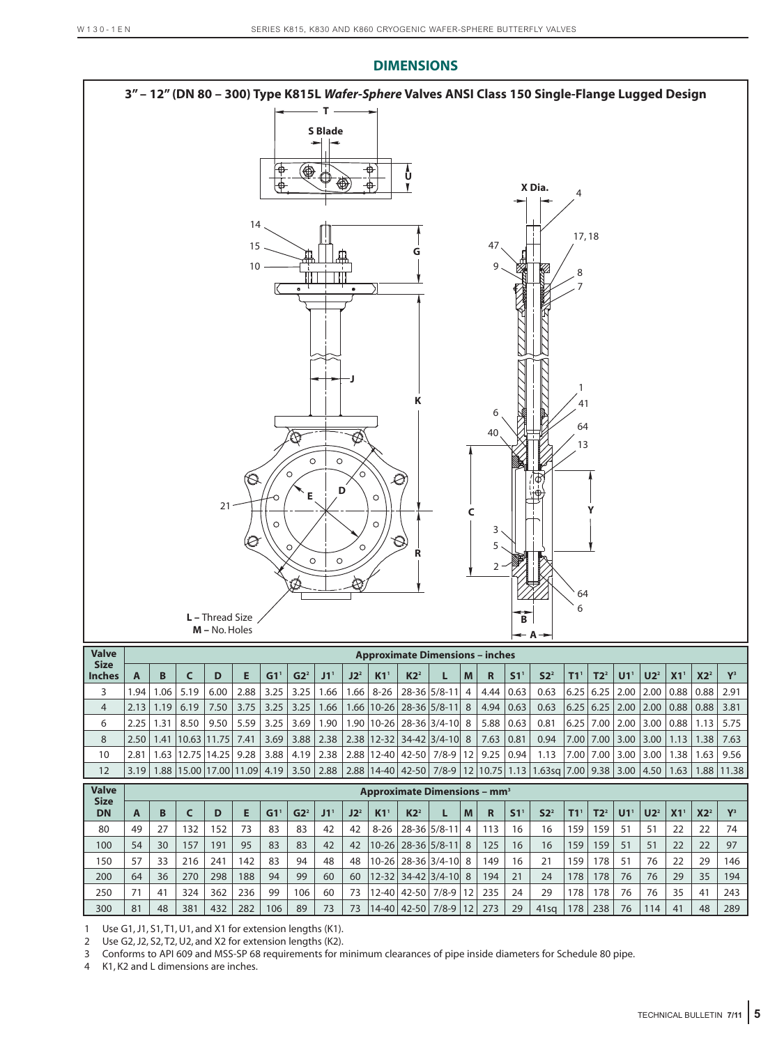**DIMENSIONS**



|                              |               |               |                                    | $III = 110.1101C3$ |      |                 |                 |                 |                 |                 |                 |                                                   |   |                  |                 | $\leftarrow A \rightarrow$                                                                                      |                 |                 |                             |                 |                 |                                                                |       |
|------------------------------|---------------|---------------|------------------------------------|--------------------|------|-----------------|-----------------|-----------------|-----------------|-----------------|-----------------|---------------------------------------------------|---|------------------|-----------------|-----------------------------------------------------------------------------------------------------------------|-----------------|-----------------|-----------------------------|-----------------|-----------------|----------------------------------------------------------------|-------|
| <b>Valve</b>                 |               |               |                                    |                    |      |                 |                 |                 |                 |                 |                 | <b>Approximate Dimensions - inches</b>            |   |                  |                 |                                                                                                                 |                 |                 |                             |                 |                 |                                                                |       |
| <b>Size</b><br><b>Inches</b> | A             | B             |                                    | D                  |      | G1 <sup>T</sup> | G2 <sup>2</sup> | J1 <sup>1</sup> | J2 <sup>2</sup> | K1 <sup>1</sup> | K2 <sup>2</sup> | L                                                 | M | R                | S1 <sup>T</sup> | S2 <sup>2</sup>                                                                                                 | T1 <sup>1</sup> | T2 <sup>2</sup> | U1 <sup>1</sup>             | U2 <sup>2</sup> | X1 <sup>1</sup> | X2 <sup>2</sup>                                                | $Y^3$ |
| 3                            | 1.94          | 1.06          | 5.19                               | 6.00               | 2.88 | 3.25            | 3.25            | 1.66            | 1.66            |                 |                 | $8-26$   28-36   5/8-11                           | 4 | $4.44 \mid 0.63$ |                 | 0.63                                                                                                            |                 |                 | $6.25$ 6.25 2.00 2.00       |                 | 0.88            | $0.88$   2.91                                                  |       |
| $\overline{4}$               |               | $2.13$   1.19 | 6.19                               | 7.50               |      | $3.75$   3.25   |                 |                 |                 |                 |                 | $3.25$   1.66   1.66   10-26   28-36   5/8-11   8 |   | $4.94 \mid 0.63$ |                 | 0.63                                                                                                            |                 |                 |                             |                 |                 | $(6.25 \mid 6.25 \mid 2.00 \mid 2.00 \mid 0.88 \mid 0.88 \mid$ | 3.81  |
| 6                            | $2.25$   1.31 |               | 8.50                               | 9.50               | 5.59 | 3.25            | 3.69            |                 |                 |                 |                 | 1.90   1.90  10-26   28-36  3/4-10   8            |   | $5.88 \mid 0.63$ |                 | 0.81                                                                                                            |                 |                 | $6.25$   7.00   2.00   3.00 |                 | 0.88            | $1.13$ 5.75                                                    |       |
| 8                            |               |               | 2.50   1.41   10.63   11.75   7.41 |                    |      | 3.69            |                 |                 |                 |                 |                 | 3.88 2.38 2.38 12-32 34-42 3/4-10 8 7.63 0.81     |   |                  |                 | 0.94                                                                                                            |                 | 7.00 7.00       | $3.00$   3.00               |                 | 1.13            | 1.38                                                           | 7.63  |
| 10                           | 2.81          |               | 1.63 12.75 14.25                   |                    | 9.28 | 3.88            |                 |                 |                 |                 |                 | 4.19 2.38 2.88 12-40 42-50 7/8-9 12 9.25 0.94     |   |                  |                 | 1.13                                                                                                            |                 | 7.00 7.00       | 3.00                        | 3.00            | 1.38            | 1.63                                                           | 9.56  |
| 12                           |               |               |                                    |                    |      |                 |                 |                 |                 |                 |                 |                                                   |   |                  |                 | 3.19 1.88 15.00 17.00 11.09 4.19 3.50 2.88 2.88 14-40 42-50 7/8-9 12 10.75 1.13 1.63sq 7.00 9.38 3.00 4.50 1.63 |                 |                 |                             |                 |                 | 1.88                                                           | 11.38 |

| <b>Valve</b>             |    |    |     |     |     |     |                 |     |                 |                   |                 | <b>Approximate Dimensions - mm<sup>3</sup></b> |    |     |    |                 |     |                 |                |                 |                |                 |                |
|--------------------------|----|----|-----|-----|-----|-----|-----------------|-----|-----------------|-------------------|-----------------|------------------------------------------------|----|-----|----|-----------------|-----|-----------------|----------------|-----------------|----------------|-----------------|----------------|
| <b>Size</b><br><b>DN</b> | A  | в  |     | D   | Е   | G1  | G2 <sup>2</sup> | J1' | J2 <sup>2</sup> | $K1$ <sup>1</sup> | K2 <sup>2</sup> |                                                | M  | R   | S1 | S2 <sup>2</sup> |     | T2 <sup>2</sup> | U <sub>1</sub> | U2 <sup>2</sup> | X <sub>1</sub> | X2 <sup>2</sup> | V <sub>3</sub> |
| 80                       | 49 | 27 | 132 | 152 | 73  | 83  | 83              | 42  | 42              | $8 - 26$          |                 | 28-36 5/8-11                                   | 4  | 113 | 16 | 16              | 59  | 159             | 51             | 51              | 22             | 22              | 74             |
| 100                      | 54 | 30 | 157 | 191 | 95  | 83  | 83              | 42  | 42              |                   |                 | $10-26$   28-36   5/8-11   8                   |    | 125 | 16 | 16              | 159 | 159             | 51             | 51              | 22             | 22              | 97             |
| 150                      | 57 | 33 | 216 | 241 | 142 | 83  | 94              | 48  | 48              | $10 - 26$         |                 | 28-36 3/4-10 8                                 |    | 149 | 16 | 21              | 59  | 178             | 51             | 76              | 22             | 29              | 146            |
| 200                      | 64 | 36 | 270 | 298 | 188 | 94  | 99              | 60  | 60              | $12 - 32$         |                 | $34 - 42$ $3/4 - 10$                           | 8  | 194 | 21 | 24              | 178 | 178             | 76             | 76              | 29             | 35              | 194            |
| 250                      | 71 | 41 | 324 | 362 | 236 | 99  | 106             | 60  | 73              | $12 - 40$         | $ 42-50 $       | $7/8-9$                                        | 12 | 235 | 24 | 29              | 178 | 178             | 76             | 76              | 35             | 41              | 243            |
| 300                      | 81 | 48 | 381 | 432 | 282 | 106 | 89              | 73  | 73              |                   | 14-40   42-50   | $7/8-9$                                        |    | 273 | 29 | 41sq            | 178 | 238             | 76             | 114             | 41             | 48              | 289            |

1 Use G1, J1, S1, T1, U1, and X1 for extension lengths (K1).

2 Use G2, J2, S2, T2, U2, and X2 for extension lengths (K2).

3 Conforms to API 609 and MSS-SP 68 requirements for minimum clearances of pipe inside diameters for Schedule 80 pipe.

4 K1, K2 and L dimensions are inches.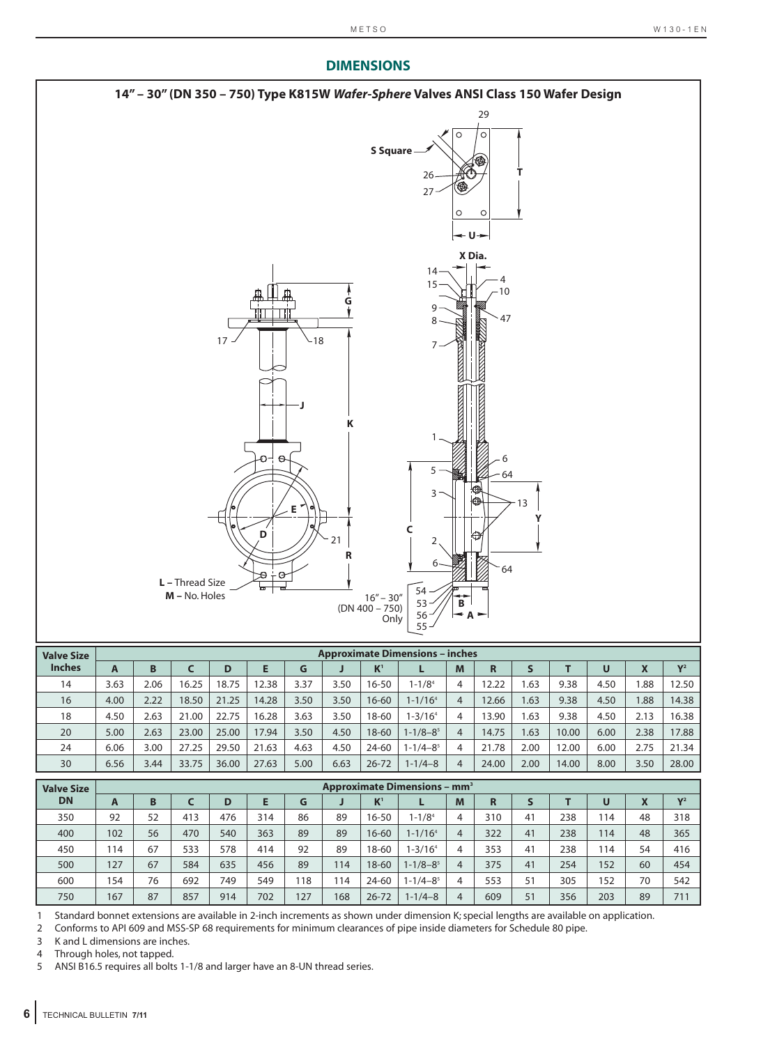#### **14" – 30" (DN 350 – 750) Type K815W** *Wafer-Sphere* **Valves ANSI Class 150 Wafer Design** 29 $\Omega$  $\circ$ **S Square T** 26 27 **U X Dia.** 14 4  $15$   $\frac{1}{2}$   $\frac{1}{10}$ **G** 9 47 8 17 18 7 **J K** 1  $\epsilon$ 6 5 64 3 13 **E Y C D** 21 2 **R** 6 64 **L –** Thread Size 54 **M –** No. Holes 16" – 30" **B** 53 (DN 400 – 750) 56 **A** Only  $36$ <br>55

| <b>Valve Size</b> |      |      |       |       |       |      |      |           | <b>Approximate Dimensions - inches</b> |   |       |      |       |      |      |                |
|-------------------|------|------|-------|-------|-------|------|------|-----------|----------------------------------------|---|-------|------|-------|------|------|----------------|
| <b>Inches</b>     | A    | B    |       | D     |       | G    |      | $K^1$     |                                        | M | R     |      |       | U    | X    | V <sup>2</sup> |
| 14                | 3.63 | 2.06 | 16.25 | 18.75 | 2.38  | 3.37 | 3.50 | $16 - 50$ | $1 - 1/84$                             | 4 | 12.22 | .63  | 9.38  | 4.50 | 88.1 | 12.50          |
| 16                | 4.00 | 2.22 | 18.50 | 21.25 | 14.28 | 3.50 | 3.50 | $16 - 60$ | $1 - 1/164$                            | 4 | 12.66 | .63  | 9.38  | 4.50 | 1.88 | 14.38          |
| 18                | 4.50 | 2.63 | 21.00 | 22.75 | 16.28 | 3.63 | 3.50 | 18-60     | $1 - 3/164$                            | 4 | 3.90  | .63  | 9.38  | 4.50 | 2.13 | 16.38          |
| 20                | 5.00 | 2.63 | 23.00 | 25.00 | 17.94 | 3.50 | 4.50 | 18-60     | $1 - 1/8 - 8^5$                        | 4 | 14.75 | .63  | 10.00 | 6.00 | 2.38 | 17.88          |
| 24                | 6.06 | 3.00 | 27.25 | 29.50 | 21.63 | 4.63 | 4.50 | 24-60     | 1-1/4–8 <sup>5</sup>                   | 4 | 21.78 | 2.00 | 12.00 | 6.00 | 2.75 | 21.34          |
| 30                | 6.56 | 3.44 | 33.75 | 36.00 | 27.63 | 5.00 | 6.63 | $26 - 72$ | $1 - 1/4 - 8$                          | 4 | 24.00 | 2.00 | 14.00 | 8.00 | 3.50 | 28.00          |

| <b>Valve Size</b> |     |    |     |     |     |     |     |           | <b>Approximate Dimensions - mm<sup>3</sup></b> |                |     |    |     |     |    |                |
|-------------------|-----|----|-----|-----|-----|-----|-----|-----------|------------------------------------------------|----------------|-----|----|-----|-----|----|----------------|
| <b>DN</b>         | A   | B  |     | D   |     | G   |     | $K^1$     |                                                | M              | R   |    |     | U   | X  | V <sup>2</sup> |
| 350               | 92  | 52 | 413 | 476 | 314 | 86  | 89  | $16 - 50$ | $1 - 1/84$                                     | 4              | 310 | 41 | 238 | 114 | 48 | 318            |
| 400               | 102 | 56 | 470 | 540 | 363 | 89  | 89  | 16-60     | $1 - 1/164$                                    | 4              | 322 | 41 | 238 | 114 | 48 | 365            |
| 450               | 114 | 67 | 533 | 578 | 414 | 92  | 89  | 18-60     | $1 - 3/164$                                    |                | 353 | 41 | 238 | 114 | 54 | 416            |
| 500               | 127 | 67 | 584 | 635 | 456 | 89  | 114 | 18-60     | $1 - 1/8 - 8^5$                                | $\overline{4}$ | 375 | 41 | 254 | 152 | 60 | 454            |
| 600               | 154 | 76 | 692 | 749 | 549 | 18  | 114 | 24-60     | $1 - 1/4 - 8^5$                                |                | 553 | 51 | 305 | 152 | 70 | 542            |
| 750               | 167 | 87 | 857 | 914 | 702 | 127 | 168 | $26 - 72$ | $1 - 1/4 - 8$                                  |                | 609 | 51 | 356 | 203 | 89 | 711            |

1 Standard bonnet extensions are available in 2-inch increments as shown under dimension K; special lengths are available on application.

2 Conforms to API 609 and MSS-SP 68 requirements for minimum clearances of pipe inside diameters for Schedule 80 pipe.

3 K and L dimensions are inches.

4 Through holes, not tapped.<br>5 ANSI B16.5 requires all bolt

5 ANSI B16.5 requires all bolts 1-1/8 and larger have an 8-UN thread series.

# **DIMENSIONS**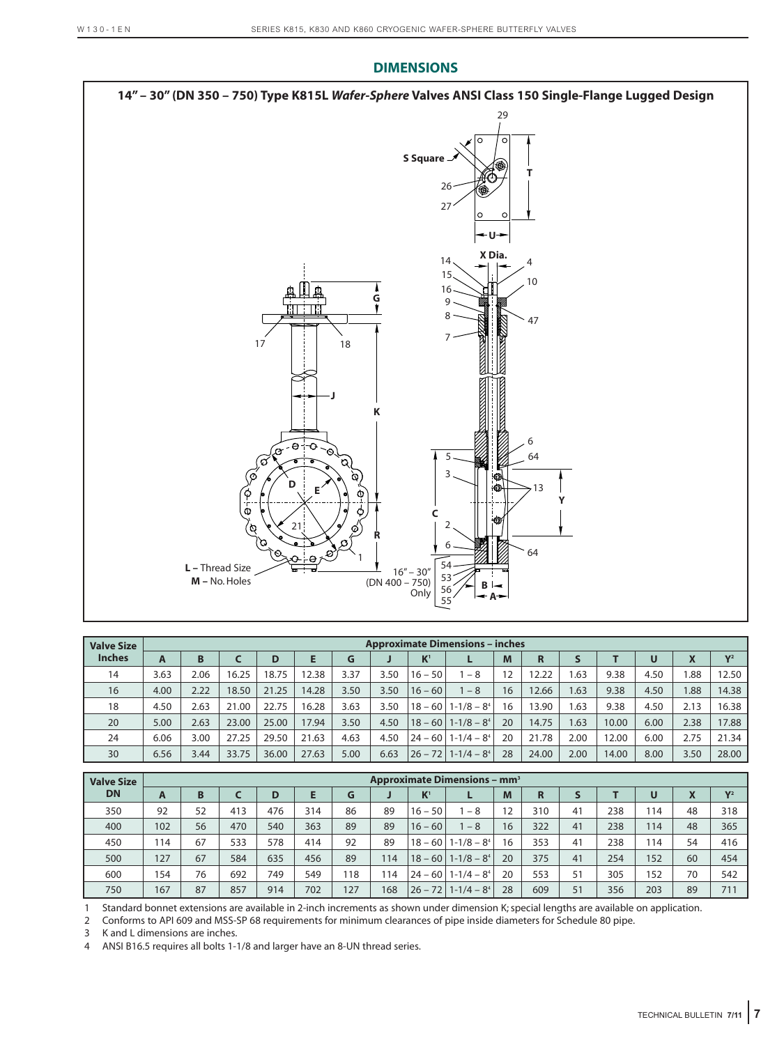

| <b>Valve Size</b> |      |      |       |       |       |      |      |                | <b>Approximate Dimensions - inches</b> |    |       |      |       |      |      |                |
|-------------------|------|------|-------|-------|-------|------|------|----------------|----------------------------------------|----|-------|------|-------|------|------|----------------|
| <b>Inches</b>     | A    | B    |       | D     |       | G    |      | K <sup>1</sup> |                                        | M  | R     |      |       | U    |      | V <sub>2</sub> |
| 14                | 3.63 | 2.06 | 16.25 | 18.75 | 12.38 | 3.37 | 3.50 | $16 - 50$      | $-8$                                   | 12 | 12.22 | 1.63 | 9.38  | 4.50 | 1.88 | 12.50          |
| 16                | 4.00 | 2.22 | 18.50 | 21.25 | 14.28 | 3.50 | 3.50 | $16 - 60$      | $-8$                                   | 16 | 2.66  | 1.63 | 9.38  | 4.50 | 1.88 | 14.38          |
| 18                | 4.50 | 2.63 | 21.00 | 22.75 | 16.28 | 3.63 | 3.50 | $18 - 60$      | $1 - 1/8 - 84$                         | 16 | 13.90 | 1.63 | 9.38  | 4.50 | 2.13 | 16.38          |
| 20                | 5.00 | 2.63 | 23.00 | 25.00 | 17.94 | 3.50 | 4.50 | $18 - 60$      | $1 - 1/8 - 8^4$                        | 20 | 14.75 | .63  | 10.00 | 6.00 | 2.38 | 17.88          |
| 24                | 6.06 | 3.00 | 27.25 | 29.50 | 21.63 | 4.63 | 4.50 | $24 - 60$      | $1 - 1/4 - 84$                         | 20 | 21.78 | 2.00 | 12.00 | 6.00 | 2.75 | 21.34          |
| 30                | 6.56 | 3.44 | 33.75 | 36.00 | 27.63 | 5.00 | 6.63 | $26 - 72$      | $1 - 1/4 - 84$                         | 28 | 24.00 | 2.00 | 14.00 | 8.00 | 3.50 | 28.00          |

| <b>Valve Size</b> |     |    |     |     |     |     |     |                | <b>Approximate Dimensions - mm<sup>3</sup></b> |    |     |    |     |     |    |                |
|-------------------|-----|----|-----|-----|-----|-----|-----|----------------|------------------------------------------------|----|-----|----|-----|-----|----|----------------|
| <b>DN</b>         | A   | B  |     | D   |     | G   |     | K <sup>1</sup> |                                                | M  | R   |    |     | U   | X  | V <sub>2</sub> |
| 350               | 92  | 52 | 413 | 476 | 314 | 86  | 89  | $16 - 50$      | $-8$                                           | 12 | 310 | 41 | 238 | 114 | 48 | 318            |
| 400               | 102 | 56 | 470 | 540 | 363 | 89  | 89  | $16 - 60$      | $-8$                                           | 16 | 322 | 41 | 238 | 114 | 48 | 365            |
| 450               | 114 | 67 | 533 | 578 | 414 | 92  | 89  |                | $18 - 60$   1-1/8 - 8 <sup>4</sup>             | 16 | 353 | 41 | 238 | 114 | 54 | 416            |
| 500               | 127 | 67 | 584 | 635 | 456 | 89  | 114 |                | $18 - 60$   1-1/8 $-$ 8 <sup>4</sup>           | 20 | 375 | 41 | 254 | 152 | 60 | 454            |
| 600               | 154 | 76 | 692 | 749 | 549 | 18  | 114 |                | $24 - 60$   1-1/4 $-$ 8 <sup>4</sup>           | 20 | 553 | 51 | 305 | 152 | 70 | 542            |
| 750               | 167 | 87 | 857 | 914 | 702 | 127 | 168 |                | $26 - 72$ 1-1/4 – 8 <sup>4</sup>               | 28 | 609 | 51 | 356 | 203 | 89 | 711            |

1 Standard bonnet extensions are available in 2-inch increments as shown under dimension K; special lengths are available on application.

2 Conforms to API 609 and MSS-SP 68 requirements for minimum clearances of pipe inside diameters for Schedule 80 pipe.

3 K and L dimensions are inches.

4 ANSI B16.5 requires all bolts 1-1/8 and larger have an 8-UN thread series.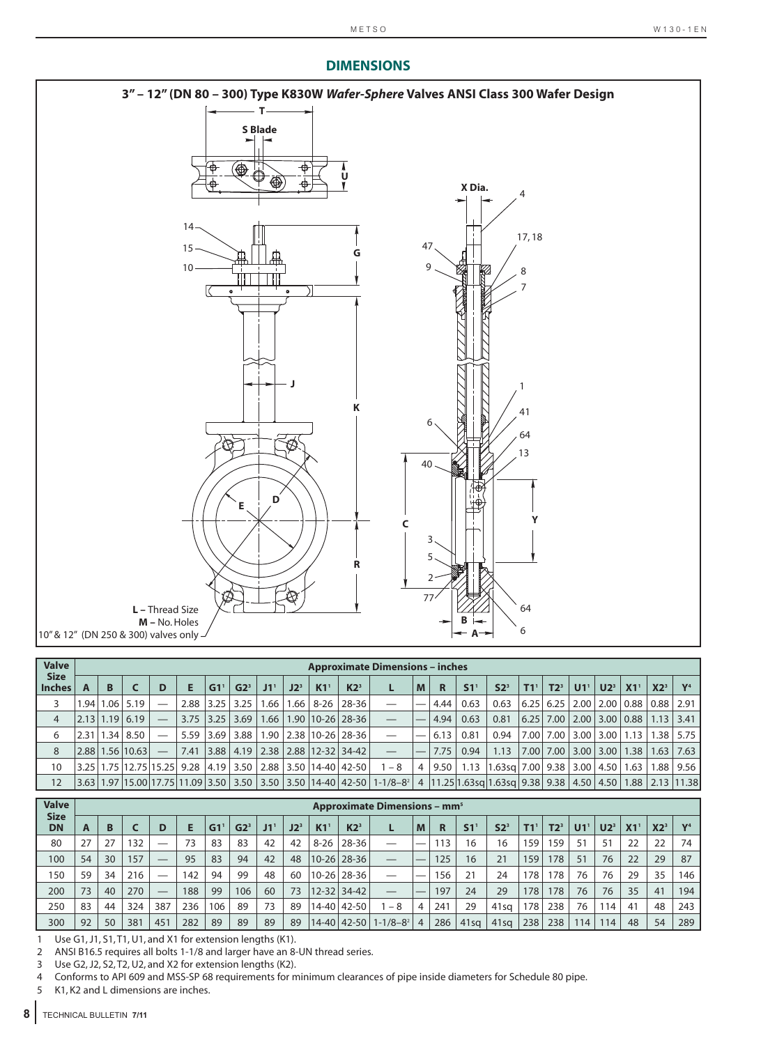

| <b>Valve</b>                 |      |               |                 |                            |      |                 |                 |                 |        |                 |                                           | <b>Approximate Dimensions - inches</b>                                                                      |   |      |      |                                        |                   |                 |                             |                                 |                 |                 |                |
|------------------------------|------|---------------|-----------------|----------------------------|------|-----------------|-----------------|-----------------|--------|-----------------|-------------------------------------------|-------------------------------------------------------------------------------------------------------------|---|------|------|----------------------------------------|-------------------|-----------------|-----------------------------|---------------------------------|-----------------|-----------------|----------------|
| <b>Size</b><br><b>Inches</b> |      | B             |                 | D                          | Е    | G1 <sup>T</sup> | G2 <sup>3</sup> | J1 <sup>1</sup> | $J2^3$ | K1 <sup>1</sup> | K2 <sup>3</sup>                           |                                                                                                             | M | R    | S1   | S2 <sup>3</sup>                        | $T1$ <sup>1</sup> | T2 <sup>3</sup> | U1 <sup>1</sup>             | $U2^3$                          | X1 <sup>1</sup> | X2 <sup>3</sup> | V <sub>4</sub> |
|                              |      | $.94 \, 1.06$ | 5.19            |                            | 2.88 | 3.25            | 3.25            | .66             | 1.66   | $8 - 26$        | 28-36                                     |                                                                                                             |   | 4.44 | 0.63 | 0.63                                   | 6.25              |                 | $6.25$   2.00   2.00   0.88 |                                 |                 | 0.88            | 2.91           |
| 4                            |      | $2.13$   1.19 | 6.19            | $\overline{\phantom{m}}$   | 3.75 | 3.25            | 3.69            | 1.66            |        |                 | 1.90   10-26   28-36                      |                                                                                                             |   | 4.94 | 0.63 | 0.81                                   | 6.25              |                 | 7.00   2.00   3.00   0.88   |                                 |                 | 1.13            | 3.41           |
| 6                            | 2.31 | 1.34          | 8.50            |                            | 5.59 | 3.69            | 3.88            |                 |        |                 | 1.90 2.38 10-26 28-36                     |                                                                                                             |   | 6.13 | 0.81 | 0.94                                   |                   | 7.00 7.00       |                             | $3.00$   $3.00$   $1.13$        |                 | 1.38            | 5.75           |
| 8                            |      |               | 2.88 1.56 10.63 |                            | 7.41 | 3.88            |                 |                 |        |                 | 4.19   2.38   2.88   12-32   34-42        |                                                                                                             |   | 7.75 | 0.94 | 1.13                                   | 7.00              | 7.00            |                             | $3.00$   $3.00$   $1.38$        |                 | 1.63            | 7.63           |
| 10                           |      |               |                 | 3.25 1.75 12.75 15.25 9.28 |      |                 |                 |                 |        |                 | 4.19   3.50   2.88   3.50   14-40   42-50 | $1 - 8$                                                                                                     | 4 | 9.50 | 1.13 | $ 1.63$ sq   7.00   9.38   3.00   4.50 |                   |                 |                             |                                 | 1.63            | 1.88            | 9.56           |
| 12                           |      |               |                 |                            |      |                 |                 |                 |        |                 |                                           | 3.63 1.97 15.00 17.75 11.09 3.50 3.50 3.50 14-40 42-50 1-1/8-8 <sup>2</sup> 4 11.25 1.63sq 1.63sq 9.38 9.38 |   |      |      |                                        |                   |                 |                             | $4.50 \mid 4.50 \mid 1.88 \mid$ |                 |                 | 2.13 11.38     |

| <b>Valve</b>             |    |    |     |                                |     |     |                |     |                 |           |                   | <b>Approximate Dimensions - mm<sup>5</sup></b> |   |     |                |                  |     |     |                |                 |    |                 |                |
|--------------------------|----|----|-----|--------------------------------|-----|-----|----------------|-----|-----------------|-----------|-------------------|------------------------------------------------|---|-----|----------------|------------------|-----|-----|----------------|-----------------|----|-----------------|----------------|
| <b>Size</b><br><b>DN</b> | A  | В  |     |                                |     | G1  | G <sub>2</sub> | J1' | J2 <sup>3</sup> | K1        | $K2^3$            |                                                | M | R   | S <sub>1</sub> | S2 <sup>3</sup>  |     | T2ª | U <sub>1</sub> | U2 <sup>3</sup> |    | X2 <sup>3</sup> | V <sub>4</sub> |
| 80                       | 27 | 27 | 132 | —                              | 73  | 83  | 83             | 42  | 42              | $8 - 26$  | 28-36             |                                                |   | 113 | 16             | 16               | 159 | 159 | 51             | 51              | 22 | 22              | 74             |
| 100                      | 54 | 30 | 157 | $\overbrace{\phantom{123321}}$ | 95  | 83  | 94             | 42  | 48              |           | $10 - 26$   28-36 |                                                |   | 125 | 16             | 21               | 159 | 178 | 51             | 76              | 22 | 29              | 87             |
| 150                      | 59 | 34 | 216 |                                | 142 | 94  | 99             | 48  | 60              | $10 - 26$ | 28-36             | __                                             |   | 156 | 21             | 24               | 178 | 178 | 76             | 76              | 29 | 35              | 146            |
| 200                      | 73 | 40 | 270 |                                | 188 | 99  | 106            | 60  | 73              | $12 - 32$ | $34 - 42$         |                                                |   | 197 | 24             | 29               | 178 | 178 | 76             | 76              | 35 | 41              | 194            |
| 250                      | 83 | 44 | 324 | 387                            | 236 | 106 | 89             | 73  | 89              | $14 - 40$ | 42-50             | $-8$                                           | 4 | 241 | 29             | 41 <sub>sq</sub> | 178 | 238 | 76             | 114.            | 41 | 48              | 243            |
| 300                      | 92 | 50 | 381 | 451                            | 282 | 89  | 89             | 89  | 89              | 14-40     | $42 - 50$         | $1 - 1/8 - 8^2$                                | 4 | 286 | $41$ sa        | 41sq             | 238 | 238 | 114.           | 114             | 48 | 54              | 289            |

1 Use G1, J1, S1, T1, U1, and X1 for extension lengths (K1).

2 ANSI B16.5 requires all bolts 1-1/8 and larger have an 8-UN thread series.

3 Use G2, J2, S2, T2, U2, and X2 for extension lengths (K2).

4 Conforms to API 609 and MSS-SP 68 requirements for minimum clearances of pipe inside diameters for Schedule 80 pipe.<br>5 K1. K2 and L dimensions are inches.

K1, K2 and L dimensions are inches.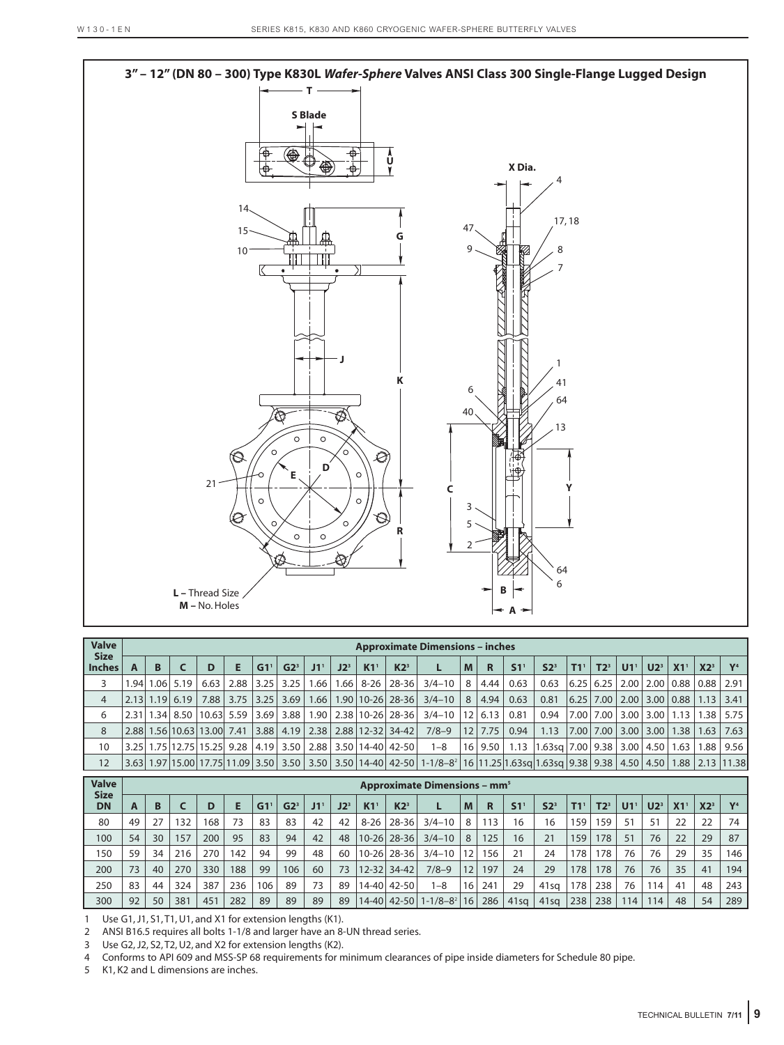

| <b>Valve</b>                 |   |                     |                                     |                     |                 |                      |                   |        |                 |                                                            | <b>Approximate Dimensions - inches</b>                   |   |          |                    |                                                                                    |                   |           |                 |        |                 |                 |                                                                      |
|------------------------------|---|---------------------|-------------------------------------|---------------------|-----------------|----------------------|-------------------|--------|-----------------|------------------------------------------------------------|----------------------------------------------------------|---|----------|--------------------|------------------------------------------------------------------------------------|-------------------|-----------|-----------------|--------|-----------------|-----------------|----------------------------------------------------------------------|
| <b>Size</b><br><b>Inches</b> | B |                     | D                                   | Е                   | G1 <sup>1</sup> | G2 <sup>3</sup>      | $J1$ <sup>V</sup> | $J2^3$ | K1 <sup>1</sup> | $K2^3$                                                     |                                                          | M | <b>R</b> | S1 <sup>1</sup>    | S2 <sup>3</sup>                                                                    | $T1$ <sup>1</sup> | $T2^3$    | U1 <sup>1</sup> | $U2^3$ | X1 <sup>1</sup> | X2 <sup>3</sup> | V <sup>4</sup>                                                       |
| 3                            |   | 1.94 1.06 5.19      | 6.63                                |                     |                 | $2.88$   3.25   3.25 |                   |        |                 | $1.66$   $1.66$   $8-26$   $28-36$                         | $3/4 - 10$   8   4.44   0.63                             |   |          |                    | 0.63                                                                               |                   |           |                 |        |                 |                 | 6.25   6.25   2.00   2.00   0.88   0.88   2.91                       |
| $\overline{4}$               |   | $2.13$   1.19  6.19 |                                     | 7.88 3.75 3.25 3.69 |                 |                      |                   |        |                 |                                                            | $1.66$   1.90   10-26   28-36   3/4-10   8   4.94   0.63 |   |          |                    | 0.81                                                                               |                   |           |                 |        |                 |                 | $(6.25 \mid 7.00 \mid 2.00 \mid 3.00 \mid 0.88 \mid 1.13 \mid 3.41)$ |
| 6                            |   |                     | 2.31 1.34 8.50 10.63 5.59 3.69 3.88 |                     |                 |                      |                   |        |                 |                                                            | 1.90   2.38   10-26   28-36   3/4-10   12   6.13   0.81  |   |          |                    | 0.94                                                                               |                   | 7.00 7.00 |                 |        |                 |                 | <sup>∣</sup> 3.00   3.00   1.13   1.38   5.75                        |
| 8                            |   |                     |                                     |                     |                 |                      |                   |        |                 | 2.88 1.56 10.63 13.00 7.41 3.88 4.19 2.38 2.88 12-32 34-42 | 7/8-9 12 7.75                                            |   |          | $\vert 0.94 \vert$ | 1.13                                                                               |                   |           |                 |        |                 |                 | $ 7.00 $ 7.00   3.00   3.00   1.38   1.63   7.63                     |
| 10                           |   |                     |                                     |                     |                 |                      |                   |        |                 | 3.25 1.75 12.75 15.25 9.28 4.19 3.50 2.88 3.50 14-40 42-50 | $1 - 8$                                                  |   |          |                    | $\vert$ 16   9.50   1.13   1.63sq   7.00   9.38   3.00   4.50   1.63   1.88   9.56 |                   |           |                 |        |                 |                 |                                                                      |
| 12                           |   |                     |                                     |                     |                 |                      |                   |        |                 |                                                            |                                                          |   |          |                    |                                                                                    |                   |           |                 |        |                 |                 |                                                                      |

| <b>Valve</b>             |    |    |     |     |     |     |                 |     |        |           |                 | <b>Approximate Dimensions - mm<sup>5</sup></b> |    |     |         |                 |                  |        |    |                 |    |                 |                |
|--------------------------|----|----|-----|-----|-----|-----|-----------------|-----|--------|-----------|-----------------|------------------------------------------------|----|-----|---------|-----------------|------------------|--------|----|-----------------|----|-----------------|----------------|
| <b>Size</b><br><b>DN</b> | A  | В  |     | D   | E   | G1' | G2 <sup>3</sup> | J1' | $J2^3$ | K1        | K2 <sup>3</sup> |                                                | M  | R   | S1      | S2 <sup>3</sup> | T1 <sup>1</sup>  | $T2^3$ | U1 | U2 <sup>3</sup> | X1 | X2 <sup>3</sup> | V <sup>4</sup> |
| 80                       | 49 | 27 | 132 | 168 | 73  | 83  | 83              | 42  | 42     | $8 - 26$  | 28-36           | $3/4 - 10$                                     | 8  | 113 | 16      | 16              | 159 <sub>1</sub> | 159    | 51 | 51              | 22 | 22              | 74             |
| 100                      | 54 | 30 | 157 | 200 | 95  | 83  | 94              | 42  | 48     | $10 - 26$ | $28 - 36$       | $3/4 - 10$                                     | 8  | 125 | 16      | 21              | 159              | 178    | 51 | 76              | 22 | 29              | 87             |
| 150                      | 59 | 34 | 216 | 270 | 142 | 94  | 99              | 48  | 60     | $10 - 26$ | 28-36           | $3/4 - 10$                                     | 12 | 156 | 21      | 24              | 178              | 178    | 76 | 76              | 29 | 35              | 146            |
| 200                      | 73 | 40 | 270 | 330 | 188 | 99  | 106             | 60  | 73     |           | $12 - 32$ 34-42 | $7/8-9$                                        | 12 | 197 | 24      | 29              | 178              | 178    | 76 | 76              | 35 | 41              | 194            |
| 250                      | 83 | 44 | 324 | 387 | 236 | 106 | 89              | 73  | 89     | $14 - 40$ | $42 - 50$       | $1 - 8$                                        | 16 | 241 | 29      | $41$ sa         | 178              | 238    | 76 | 114             | 41 | 48              | 243            |
| 300                      | 92 | 50 | 381 | 451 | 282 | 89  | 89              | 89  | 89     |           | 14-40 42-50     | $1 - 1/8 - 8^2$                                | 16 | 286 | $41$ sa | $41$ sa         | 238              | 238    | 14 | 114             | 48 | 54              | 289            |

1 Use G1, J1, S1, T1, U1, and X1 for extension lengths (K1).

2 ANSI B16.5 requires all bolts 1-1/8 and larger have an 8-UN thread series.

3 Use G2, J2, S2, T2, U2, and X2 for extension lengths (K2).

4 Conforms to API 609 and MSS-SP 68 requirements for minimum clearances of pipe inside diameters for Schedule 80 pipe.

5 K1, K2 and L dimensions are inches.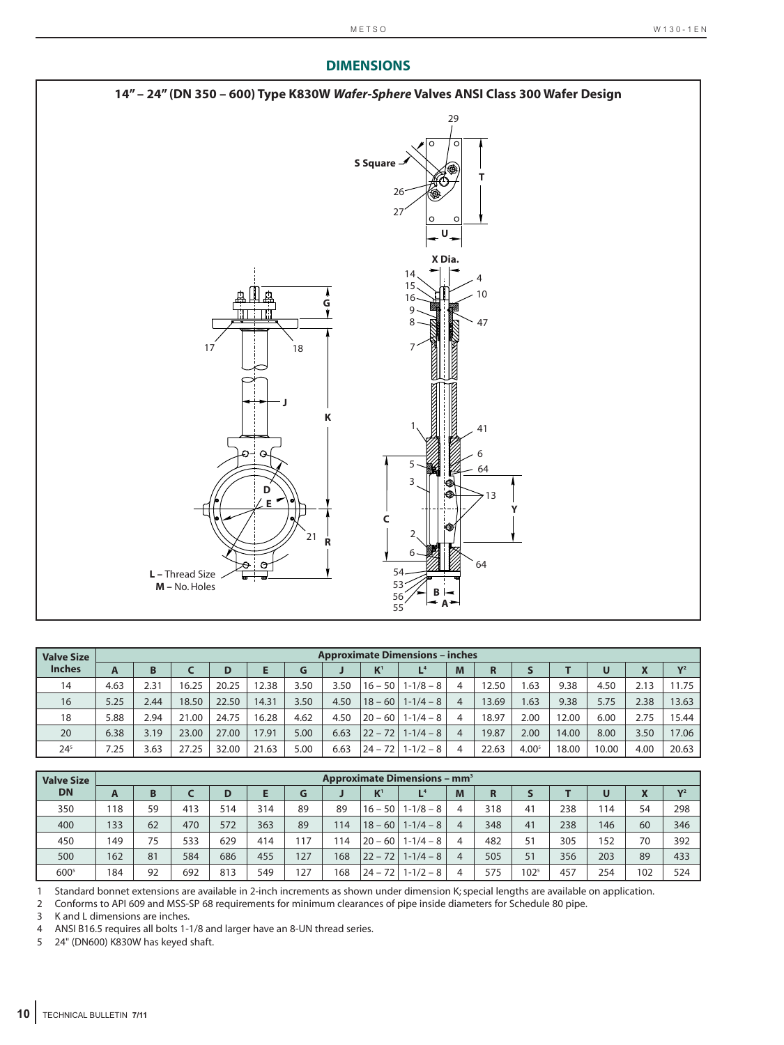#### **DIMENSIONS 14" – 24" (DN 350 – 600) Type K830W** *Wafer-Sphere* **Valves ANSI Class 300 Wafer Design** 29 **S Square T** 26 27 **U X Dia.** 14 4 15 10 16 **G** 9 8 47 17 18 7 **J K** 1 41O Q 6 5 64 3 **D** 13 **E Y C** 2 21 **R** 6 64 54 **L –** Thread Size **M –** No. Holes 53 **B** 56 **A** 55

| <b>Valve Size</b> |      |      |       |       |       |      |      |             | <b>Approximate Dimensions - inches</b> |                |       |                   |       |       |      |       |
|-------------------|------|------|-------|-------|-------|------|------|-------------|----------------------------------------|----------------|-------|-------------------|-------|-------|------|-------|
| <b>Inches</b>     | A    | B    |       |       |       | G    |      | $K^1$       | L <sup>4</sup>                         | M              | R     |                   |       | U     | X    | $V^2$ |
| 14                | 4.63 | 2.31 | 16.25 | 20.25 | 12.38 | 3.50 | 3.50 | $16 - 50$   | $1 - 1/8 - 8$                          | 4              | 12.50 | .63               | 9.38  | 4.50  | 2.13 | 11.75 |
| 16                | 5.25 | 2.44 | 18.50 | 22.50 | 14.31 | 3.50 | 4.50 | $18 - 60$   | $1 - 1/4 - 8$                          | 4              | 13.69 | .63               | 9.38  | 5.75  | 2.38 | 13.63 |
| 18                | 5.88 | 2.94 | 21.00 | 24.75 | 16.28 | 4.62 | 4.50 | $20 - 60$   | $1 - 1/4 - 8$                          | 4              | 18.97 | 2.00              | 12.00 | 6.00  | 2.75 | 15.44 |
| 20                | 6.38 | 3.19 | 23.00 | 27.00 | 17.91 | 5.00 | 6.63 | $ 22 - 72 $ | $1 - 1/4 - 8$                          | $\overline{4}$ | 19.87 | 2.00              | 14.00 | 8.00  | 3.50 | 17.06 |
| $24^{5}$          | 7.25 | 3.63 | 27.25 | 32.00 | 21.63 | 5.00 | 6.63 | $24 - 72$   | $1 - 1/2 - 8$                          | 4              | 22.63 | 4.00 <sup>5</sup> | 18.00 | 10.00 | 4.00 | 20.63 |

| <b>Valve Size</b> |     |    |     |     |     |     |     |           | <b>Approximate Dimensions - mm<sup>3</sup></b> |   |     |           |     |     |     |                |
|-------------------|-----|----|-----|-----|-----|-----|-----|-----------|------------------------------------------------|---|-----|-----------|-----|-----|-----|----------------|
| <b>DN</b>         | A   | B  |     | D   |     | G   |     | $K^1$     | L <sup>4</sup>                                 | M | R   |           |     | U   | X   | V <sup>2</sup> |
| 350               | 118 | 59 | 413 | 514 | 314 | 89  | 89  | $16 - 50$ | $1 - 1/8 - 8$                                  | 4 | 318 | 41        | 238 | 114 | 54  | 298            |
| 400               | 133 | 62 | 470 | 572 | 363 | 89  | 114 | $18 - 60$ | $1 - 1/4 - 8$                                  | 4 | 348 | 41        | 238 | 146 | 60  | 346            |
| 450               | 149 | 75 | 533 | 629 | 414 | 117 | '14 | $20 - 60$ | $1 - 1/4 - 8$                                  |   | 482 | 51        | 305 | 152 | 70  | 392            |
| 500               | 162 | 81 | 584 | 686 | 455 | 127 | 168 | $22 - 72$ | $1 - 1/4 - 8$                                  |   | 505 | 51        | 356 | 203 | 89  | 433            |
| 600 <sup>5</sup>  | 184 | 92 | 692 | 813 | 549 | 127 | 168 |           | $24 - 72$   1-1/2 - 8                          |   | 575 | $102^{5}$ | 457 | 254 | 102 | 524            |

1 Standard bonnet extensions are available in 2-inch increments as shown under dimension K; special lengths are available on application.

2 Conforms to API 609 and MSS-SP 68 requirements for minimum clearances of pipe inside diameters for Schedule 80 pipe.

3 K and L dimensions are inches.

4 ANSI B16.5 requires all bolts 1-1/8 and larger have an 8-UN thread series.<br>5 24" (DN600) K830W has keyed shaft.

24" (DN600) K830W has keyed shaft.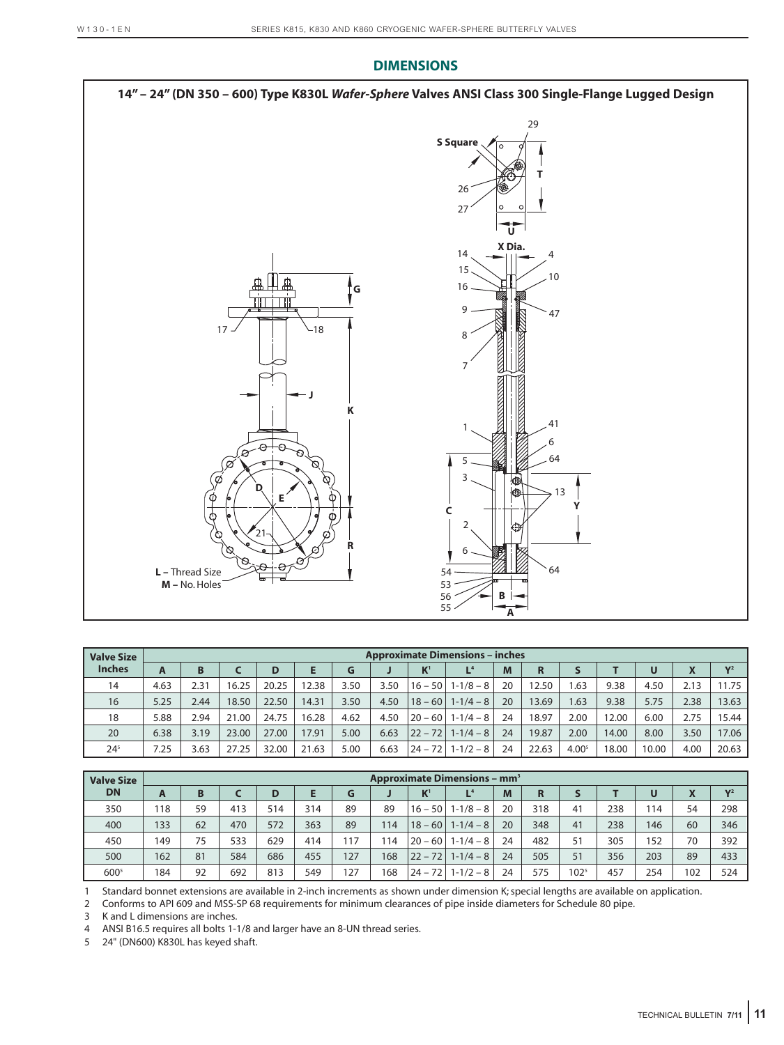

| <b>Valve Size</b> |      |      |       |       |       |      |      |             | <b>Approximate Dimensions - inches</b> |    |       |                   |       |       |                         |                |
|-------------------|------|------|-------|-------|-------|------|------|-------------|----------------------------------------|----|-------|-------------------|-------|-------|-------------------------|----------------|
| <b>Inches</b>     | A    | B    |       | D     |       | G    |      | $K^1$       | L <sup>4</sup>                         | M  | R     |                   |       | U     | $\overline{\mathbf{v}}$ | V <sup>2</sup> |
| 14                | 4.63 | 2.31 | 16.25 | 20.25 | 12.38 | 3.50 | 3.50 | $16 - 50$   | $1 - 1/8 - 8$                          | 20 | 12.50 | .63               | 9.38  | 4.50  | 2.13                    | 11.75          |
| 16                | 5.25 | 2.44 | 18.50 | 22.50 | 14.31 | 3.50 | 4.50 | $ 18 - 60 $ | $1-1/4-8$                              | 20 | 13.69 | 1.63              | 9.38  | 5.75  | 2.38                    | 13.63          |
| 18                | 5.88 | 2.94 | 21.00 | 24.75 | 16.28 | 4.62 | 4.50 | $ 20 - 60 $ | $1-1/4-8$                              | 24 | 18.97 | 2.00              | 12.00 | 6.00  | 2.75                    | 15.44          |
| 20                | 6.38 | 3.19 | 23.00 | 27.00 | 17.91 | 5.00 | 6.63 | $ 22 - 72 $ | $1 - 1/4 - 8$                          | 24 | 19.87 | 2.00              | 14.00 | 8.00  | 3.50                    | 17.06          |
| $24^{5}$          | 7.25 | 3.63 | 27.25 | 32.00 | 21.63 | 5.00 | 6.63 | $ 24 - 72 $ | $1 - 1/2 - 8$                          | 24 | 22.63 | 4.00 <sup>5</sup> | 18.00 | 10.00 | 4.00                    | 20.63          |

| <b>Valve Size</b> |     |    |     |     |     |     |     |           | <b>Approximate Dimensions - mm<sup>3</sup></b> |    |     |           |     |     |     |                |
|-------------------|-----|----|-----|-----|-----|-----|-----|-----------|------------------------------------------------|----|-----|-----------|-----|-----|-----|----------------|
| <b>DN</b>         | A   | B  |     | D   | Е   | G   |     | $K^1$     | L <sup>4</sup>                                 | M  | R   |           |     | U   | X   | V <sup>2</sup> |
| 350               | 118 | 59 | 413 | 514 | 314 | 89  | 89  | $16 - 50$ | $1 - 1/8 - 8$                                  | 20 | 318 | 41        | 238 | 114 | 54  | 298            |
| 400               | 133 | 62 | 470 | 572 | 363 | 89  | 114 | $18 - 60$ | $1-1/4-8$                                      | 20 | 348 | 41        | 238 | 146 | 60  | 346            |
| 450               | 149 | 75 | 533 | 629 | 414 | 117 | 114 | $20 - 60$ | $1 - 1/4 - 8$                                  | 24 | 482 | 51        | 305 | 152 | 70  | 392            |
| 500               | 162 | 81 | 584 | 686 | 455 | 127 | 168 | $22 - 72$ | $1 - 1/4 - 8$                                  | 24 | 505 | 51        | 356 | 203 | 89  | 433            |
| $600^{5}$         | 184 | 92 | 692 | 813 | 549 | 127 | 168 | $24 - 72$ | $1 - 1/2 - 8$                                  | 24 | 575 | $102^{5}$ | 457 | 254 | 102 | 524            |

1 Standard bonnet extensions are available in 2-inch increments as shown under dimension K; special lengths are available on application.

2 Conforms to API 609 and MSS-SP 68 requirements for minimum clearances of pipe inside diameters for Schedule 80 pipe.

3 K and L dimensions are inches.

4 ANSI B16.5 requires all bolts 1-1/8 and larger have an 8-UN thread series.

5 24" (DN600) K830L has keyed shaft.

TECHNICAL BULLETIN **7/11 11**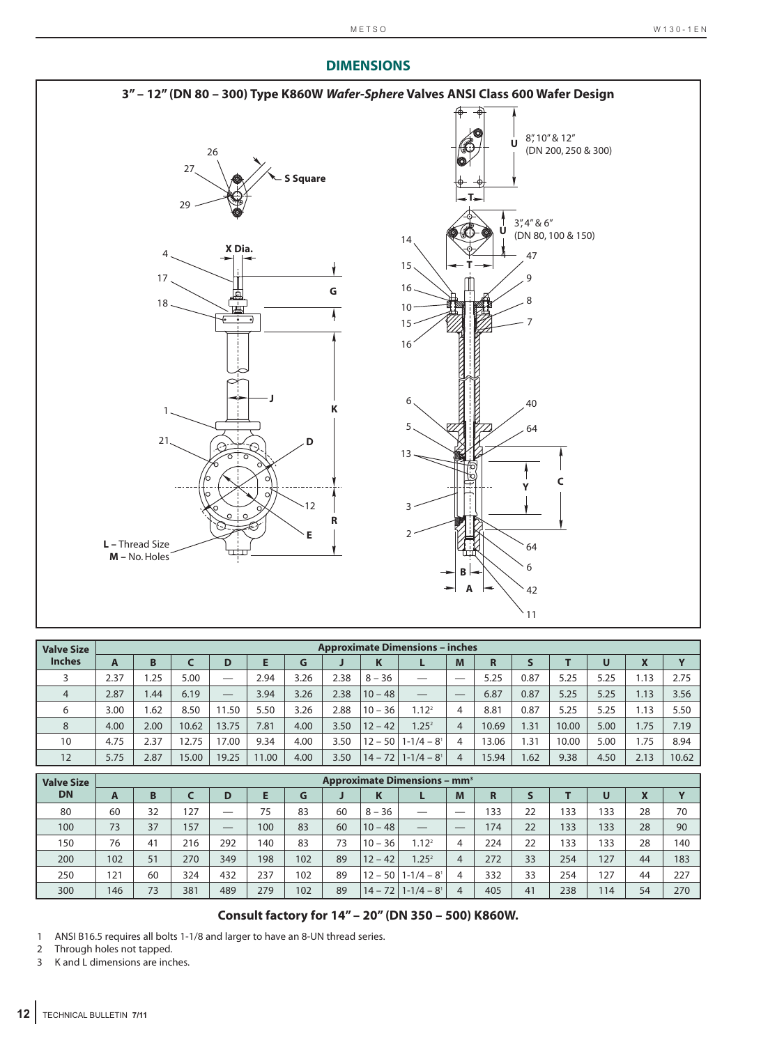#### **3" – 12" (DN 80 – 300) Type K860W** *Wafer-Sphere* **Valves ANSI Class 600 Wafer Design** 8", 10" & 12" **U** (DN 200, 250 & 300) 26 27 **S Square T** 29 3", 4" & 6" **U** (DN 80, 100 & 150)14 **X Dia.** 4 47 4 15  $\mathbf{\downarrow}$ **T** 17 9 **G** 16 G 18 8 10 曲  $\frac{1}{2}$ 15 7 16 **J** 6 40 **K** 1 5 64 21 **D** 13 **C Y** 12 3 **R E**  $\overline{\phantom{0}}$ **L –** Thread Size 64 **M –** No. Holes 6 **B A** 42 11

| <b>Valve Size</b> |      |      |       |                               |       |      |      |           | <b>Approximate Dimensions - inches</b> |                |       |      |       |      |      |             |
|-------------------|------|------|-------|-------------------------------|-------|------|------|-----------|----------------------------------------|----------------|-------|------|-------|------|------|-------------|
| <b>Inches</b>     | A    | B    |       | D                             | E     | G    |      | K         |                                        | M              | R     |      |       | U    | X    | $\mathbf v$ |
|                   | 2.37 | .25  | 5.00  |                               | 2.94  | 3.26 | 2.38 | $8 - 36$  |                                        | --             | 5.25  | 0.87 | 5.25  | 5.25 | 1.13 | 2.75        |
| $\overline{4}$    | 2.87 | .44  | 6.19  | $\overbrace{\phantom{aaaaa}}$ | 3.94  | 3.26 | 2.38 | $10 - 48$ | —                                      |                | 6.87  | 0.87 | 5.25  | 5.25 | 1.13 | 3.56        |
| 6                 | 3.00 | .62  | 8.50  | 11.50                         | 5.50  | 3.26 | 2.88 | $10 - 36$ | 1.12 <sup>2</sup>                      | 4              | 8.81  | 0.87 | 5.25  | 5.25 | 1.13 | 5.50        |
| 8                 | 4.00 | 2.00 | 10.62 | 13.75                         | 7.81  | 4.00 | 3.50 | $12 - 42$ | 1.25 <sup>2</sup>                      | 4              | 10.69 | 1.31 | 10.00 | 5.00 | 1.75 | 7.19        |
| 10                | 4.75 | 2.37 | 12.75 | 17.00                         | 9.34  | 4.00 | 3.50 | $12 - 50$ | $1 - 1/4 - 8$ <sup>1</sup>             | 4              | 13.06 | 1.31 | 10.00 | 5.00 | 1.75 | 8.94        |
| 12                | 5.75 | 2.87 | 15.00 | 19.25                         | 11.00 | 4.00 | 3.50 | $14 - 72$ | $1 - 1/4 - 8$ <sup>1</sup>             | $\overline{A}$ | 15.94 | 1.62 | 9.38  | 4.50 | 2.13 | 10.62       |

| <b>Valve Size</b> |     |    |     |                               |     |     |    |           | <b>Approximate Dimensions - mm<sup>3</sup></b> |                |     |    |     |     |    |             |
|-------------------|-----|----|-----|-------------------------------|-----|-----|----|-----------|------------------------------------------------|----------------|-----|----|-----|-----|----|-------------|
| <b>DN</b>         | A   | B  |     | D                             |     | G   | u  | K         |                                                | M              | R   | S  |     | U   | X  | $\mathbf v$ |
| 80                | 60  | 32 | 127 | ---                           | 75  | 83  | 60 | $8 - 36$  | —                                              | —              | 133 | 22 | 133 | 133 | 28 | 70          |
| 100               | 73  | 37 | 157 | $\overbrace{\phantom{aaaaa}}$ | 100 | 83  | 60 | $10 - 48$ |                                                |                | 174 | 22 | 133 | 133 | 28 | 90          |
| 150               | 76  | 41 | 216 | 292                           | 140 | 83  | 73 | $10 - 36$ | $1.12^{2}$                                     | 4              | 224 | 22 | 133 | 133 | 28 | 140         |
| 200               | 102 | 51 | 270 | 349                           | 198 | 102 | 89 | $12 - 42$ | 1.25 <sup>2</sup>                              | $\overline{4}$ | 272 | 33 | 254 | 127 | 44 | 183         |
| 250               | 121 | 60 | 324 | 432                           | 237 | 102 | 89 | $12 - 50$ | $1 - 1/4 - 8$ <sup>1</sup>                     | 4              | 332 | 33 | 254 | 127 | 44 | 227         |
| 300               | 146 | 73 | 381 | 489                           | 279 | 102 | 89 | $14 - 72$ | $1 - 1/4 - 8$ <sup>1</sup>                     | 4              | 405 | 41 | 238 | 114 | 54 | 270         |

#### **Consult factory for 14" – 20" (DN 350 – 500) K860W.**

1 ANSI B16.5 requires all bolts 1-1/8 and larger to have an 8-UN thread series.

2 Through holes not tapped.<br>3 K and L dimensions are incl

K and L dimensions are inches.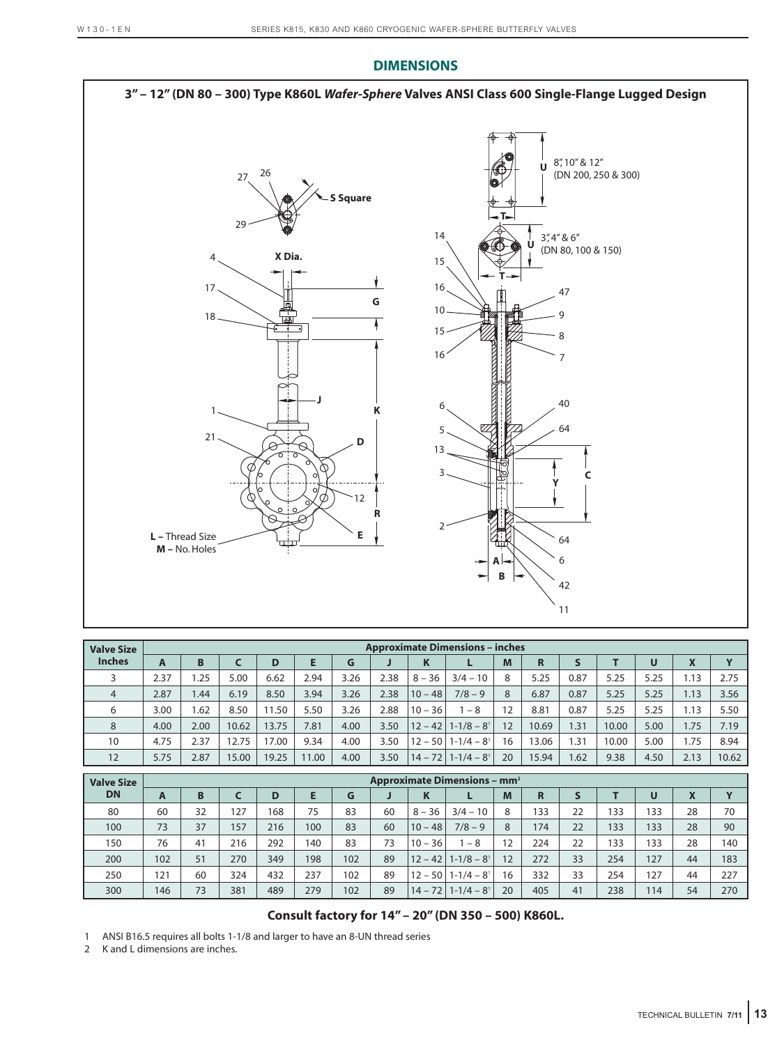

| <b>Valve Size</b> |      |      |       |       |       |      |      |           | <b>Approximate Dimensions - inches</b> |    |       |      |       |      |                         |       |
|-------------------|------|------|-------|-------|-------|------|------|-----------|----------------------------------------|----|-------|------|-------|------|-------------------------|-------|
| <b>Inches</b>     | A    | B    |       | D     |       | G    |      | K         |                                        | M  | R     |      |       | U    | $\overline{\mathbf{v}}$ |       |
|                   | 2.37 | .25  | 5.00  | 6.62  | 2.94  | 3.26 | 2.38 | $8 - 36$  | $3/4 - 10$                             | 8  | 5.25  | 0.87 | 5.25  | 5.25 | 1.13                    | 2.75  |
| $\overline{4}$    | 2.87 | .44  | 6.19  | 8.50  | 3.94  | 3.26 | 2.38 | $10 - 48$ | $7/8 - 9$                              | 8  | 6.87  | 0.87 | 5.25  | 5.25 | 1.13                    | 3.56  |
| 6                 | 3.00 | .62  | 8.50  | 11.50 | 5.50  | 3.26 | 2.88 | $10 - 36$ | -8                                     | 12 | 8.81  | 0.87 | 5.25  | 5.25 | 1.13                    | 5.50  |
| 8                 | 4.00 | 2.00 | 10.62 | 13.75 | 7.81  | 4.00 | 3.50 |           | $12 - 42$   1-1/8 – 8 <sup>1</sup>     | 12 | 10.69 | 1.31 | 10.00 | 5.00 | 1.75                    | 7.19  |
| 10                | 4.75 | 2.37 | 12.75 | 17.00 | 9.34  | 4.00 | 3.50 |           | $12 - 50$   1-1/4 $-$ 8 <sup>1</sup>   | 16 | 13.06 | .31  | 10.00 | 5.00 | .75                     | 8.94  |
| 12                | 5.75 | 2.87 | 15.00 | 19.25 | 11.00 | 4.00 | 3.50 |           | $14 - 72$   1-1/4 – 8 <sup>1</sup>     | 20 | 15.94 | .62  | 9.38  | 4.50 | 2.13                    | 10.62 |

| <b>Valve Size</b> |     | <b>Approximate Dimensions - mm<sup>2</sup></b> |     |     |     |     |    |           |                                     |                   |     |    |     |     |    |                         |
|-------------------|-----|------------------------------------------------|-----|-----|-----|-----|----|-----------|-------------------------------------|-------------------|-----|----|-----|-----|----|-------------------------|
| <b>DN</b>         | A   | <sub>B</sub>                                   |     | D   |     | G   | J  | K         |                                     | M                 | R   |    |     | U   | X  | $\overline{\mathbf{v}}$ |
| 80                | 60  | 32                                             | 127 | 168 | 75  | 83  | 60 | $8 - 36$  | $3/4 - 10$                          | 8                 | 133 | 22 | 133 | 133 | 28 | 70                      |
| 100               | 73  | 37                                             | 157 | 216 | 100 | 83  | 60 | $10 - 48$ | $7/8 - 9$                           | 8                 | 174 | 22 | 133 | 133 | 28 | 90                      |
| 150               | 76  | 41                                             | 216 | 292 | 140 | 83  | 73 | $10 - 36$ | $-8$                                | $12 \overline{ }$ | 224 | 22 | 133 | 133 | 28 | 140                     |
| 200               | 102 | 51                                             | 270 | 349 | 198 | 102 | 89 | $12 - 42$ | $1 - 1/8 - 8$ <sup>1</sup>          | 12                | 272 | 33 | 254 | 127 | 44 | 183                     |
| 250               | 121 | 60                                             | 324 | 432 | 237 | 102 | 89 |           | $12 - 50$   1-1/4 $-8$ <sup>1</sup> | 16                | 332 | 33 | 254 | 127 | 44 | 227                     |
| 300               | 146 | 73                                             | 381 | 489 | 279 | 102 | 89 | $14 - 72$ | $1 - 1/4 - 8$ <sup>1</sup>          | 20                | 405 | 41 | 238 | 114 | 54 | 270                     |

### **Consult factory for 14" – 20" (DN 350 – 500) K860L.**

1 ANSI B16.5 requires all bolts 1-1/8 and larger to have an 8-UN thread series

2 K and L dimensions are inches.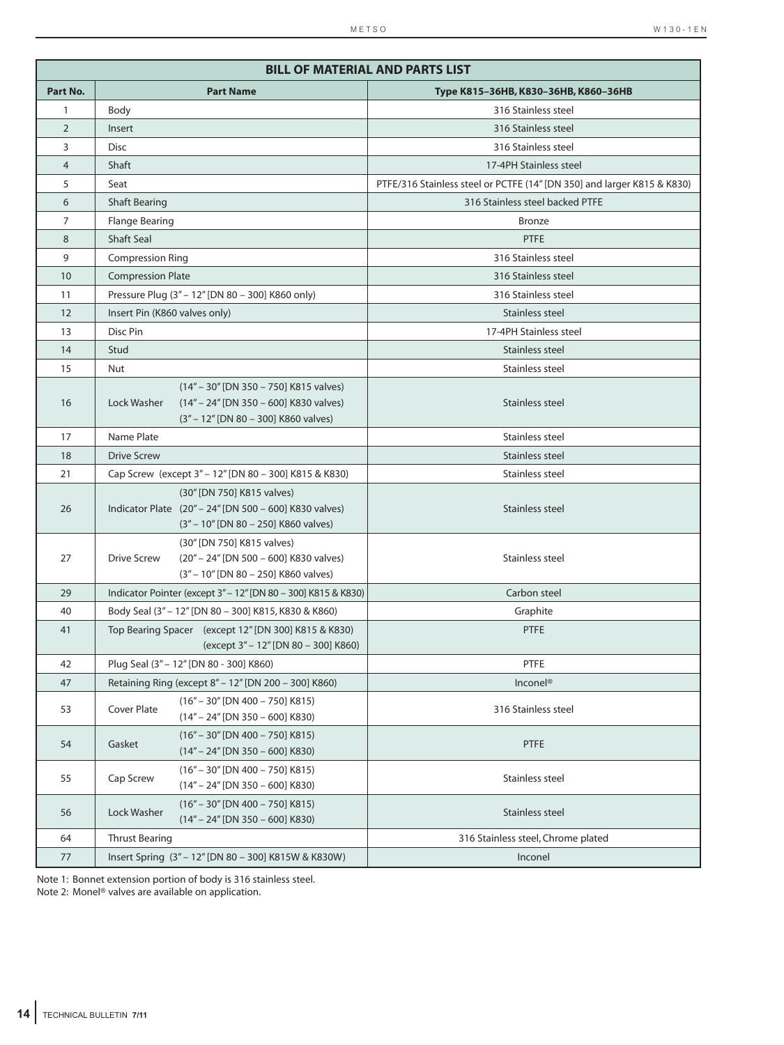|                |                               |                                                                                                                              | <b>BILL OF MATERIAL AND PARTS LIST</b>                                  |
|----------------|-------------------------------|------------------------------------------------------------------------------------------------------------------------------|-------------------------------------------------------------------------|
| Part No.       |                               | <b>Part Name</b>                                                                                                             | Туре К815-36НВ, К830-36НВ, К860-36НВ                                    |
| 1              | Body                          |                                                                                                                              | 316 Stainless steel                                                     |
| $\overline{2}$ | Insert                        |                                                                                                                              | 316 Stainless steel                                                     |
| 3              | <b>Disc</b>                   |                                                                                                                              | 316 Stainless steel                                                     |
| $\overline{4}$ | <b>Shaft</b>                  |                                                                                                                              | 17-4PH Stainless steel                                                  |
| 5              | Seat                          |                                                                                                                              | PTFE/316 Stainless steel or PCTFE (14" [DN 350] and larger K815 & K830) |
| 6              | <b>Shaft Bearing</b>          |                                                                                                                              | 316 Stainless steel backed PTFE                                         |
| 7              | <b>Flange Bearing</b>         |                                                                                                                              | <b>Bronze</b>                                                           |
| 8              | <b>Shaft Seal</b>             |                                                                                                                              | <b>PTFE</b>                                                             |
| 9              | <b>Compression Ring</b>       |                                                                                                                              | 316 Stainless steel                                                     |
| 10             | <b>Compression Plate</b>      |                                                                                                                              | 316 Stainless steel                                                     |
| 11             |                               | Pressure Plug (3" - 12" [DN 80 - 300] K860 only)                                                                             | 316 Stainless steel                                                     |
| 12             | Insert Pin (K860 valves only) |                                                                                                                              | Stainless steel                                                         |
| 13             | Disc Pin                      |                                                                                                                              | 17-4PH Stainless steel                                                  |
| 14             | Stud                          |                                                                                                                              | Stainless steel                                                         |
| 15             | Nut                           |                                                                                                                              | Stainless steel                                                         |
| 16             | Lock Washer                   | (14" - 30" [DN 350 - 750] K815 valves)<br>(14" - 24" [DN 350 - 600] K830 valves)<br>(3" - 12" [DN 80 - 300] K860 valves)     | Stainless steel                                                         |
| 17             | Name Plate                    |                                                                                                                              | Stainless steel                                                         |
| 18             | <b>Drive Screw</b>            |                                                                                                                              | Stainless steel                                                         |
| 21             |                               | Cap Screw (except 3" - 12" [DN 80 - 300] K815 & K830)                                                                        | Stainless steel                                                         |
| 26             |                               | (30" [DN 750] K815 valves)<br>Indicator Plate (20" - 24" [DN 500 - 600] K830 valves)<br>(3" - 10" [DN 80 - 250] K860 valves) | Stainless steel                                                         |
| 27             | <b>Drive Screw</b>            | (30" [DN 750] K815 valves)<br>(20" - 24" [DN 500 - 600] K830 valves)<br>(3" - 10" [DN 80 - 250] K860 valves)                 | Stainless steel                                                         |
| 29             |                               | Indicator Pointer (except 3" - 12" [DN 80 - 300] K815 & K830)                                                                | Carbon steel                                                            |
| 40             |                               | Body Seal (3" - 12" [DN 80 - 300] K815, K830 & K860)                                                                         | Graphite                                                                |
| 41             |                               | Top Bearing Spacer (except 12" [DN 300] K815 & K830)<br>(except 3" - 12" [DN 80 - 300] K860)                                 | <b>PTFE</b>                                                             |
| 42             |                               | Plug Seal (3" - 12" [DN 80 - 300] K860)                                                                                      | PTFE                                                                    |
| 47             |                               | Retaining Ring (except 8" - 12" [DN 200 - 300] K860)                                                                         | Inconel <sup>®</sup>                                                    |
| 53             | Cover Plate                   | $(16" - 30"$ [DN 400 - 750] K815)<br>$(14" - 24"$ [DN 350 - 600] K830)                                                       | 316 Stainless steel                                                     |
| 54             | Gasket                        | $(16" - 30"$ [DN 400 - 750] K815)<br>$(14" - 24"$ [DN 350 - 600] K830)                                                       | PTFE                                                                    |
| 55             | Cap Screw                     | $(16" - 30"$ [DN 400 - 750] K815)<br>$(14" - 24"$ [DN 350 - 600] K830)                                                       | Stainless steel                                                         |
| 56             | Lock Washer                   | $(16" - 30"$ [DN 400 - 750] K815)<br>$(14" - 24"$ [DN 350 - 600] K830)                                                       | Stainless steel                                                         |
| 64             | <b>Thrust Bearing</b>         |                                                                                                                              | 316 Stainless steel, Chrome plated                                      |
| 77             |                               | Insert Spring (3" - 12" [DN 80 - 300] K815W & K830W)                                                                         | Inconel                                                                 |

Note 1: Bonnet extension portion of body is 316 stainless steel.

Note 2: Monel® valves are available on application.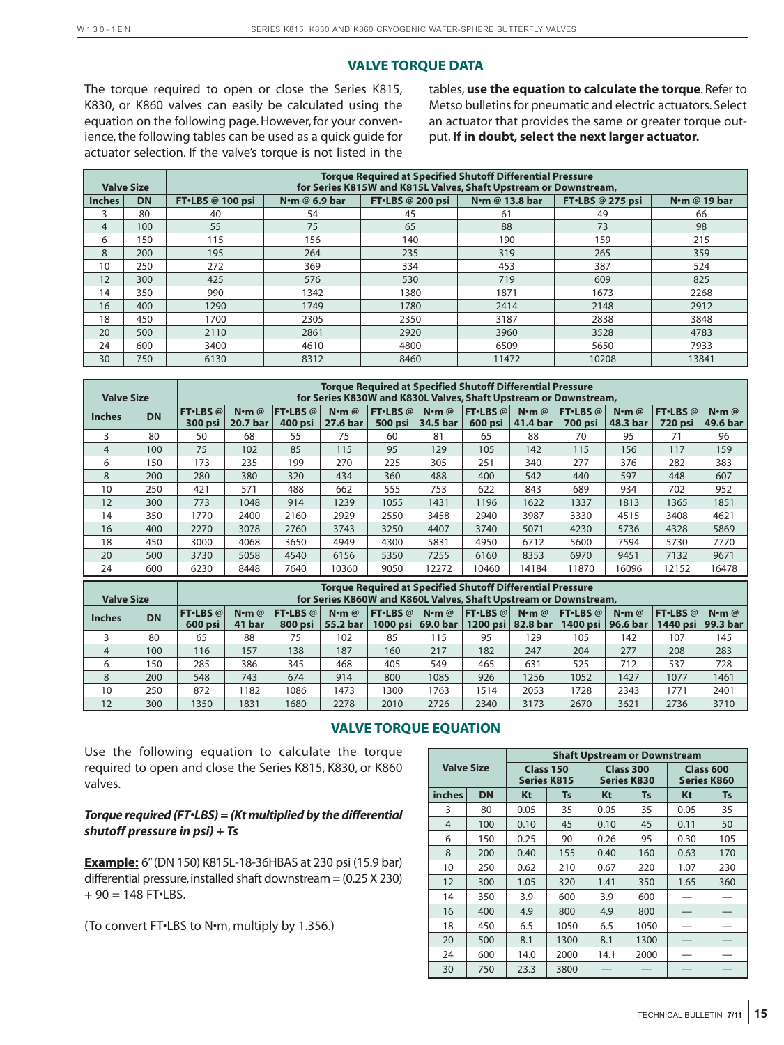# **VALVE TORQUE DATA**

The torque required to open or close the Series K815, K830, or K860 valves can easily be calculated using the equation on the following page. However, for your convenience, the following tables can be used as a quick guide for actuator selection. If the valve's torque is not listed in the tables, **use the equation to calculate the torque**. Refer to Metso bulletins for pneumatic and electric actuators. Select an actuator that provides the same or greater torque output. **If in doubt, select the next larger actuator.**

|               | <b>Valve Size</b> |                  | <b>Torque Required at Specified Shutoff Differential Pressure</b><br>for Series K815W and K815L Valves, Shaft Upstream or Downstream, |                  |                            |                    |              |  |  |  |  |  |  |  |
|---------------|-------------------|------------------|---------------------------------------------------------------------------------------------------------------------------------------|------------------|----------------------------|--------------------|--------------|--|--|--|--|--|--|--|
| <b>Inches</b> | <b>DN</b>         | FT.LBS @ 100 psi | N $\cdot$ m @ 6.9 bar                                                                                                                 | FT·LBS @ 200 psi | N <sub>om</sub> @ 13.8 bar | $FT·LBS @ 275$ psi | N.m @ 19 bar |  |  |  |  |  |  |  |
|               | 80                | 40               | 54                                                                                                                                    | 45               | 61                         | 49                 | 66           |  |  |  |  |  |  |  |
| 4             | 100               | 55               | 75                                                                                                                                    | 65               | 88                         | 73                 | 98           |  |  |  |  |  |  |  |
| 6             | 150               | 115              | 156                                                                                                                                   | 140              | 190                        | 159                | 215          |  |  |  |  |  |  |  |
| 8             | 200               | 195              | 264                                                                                                                                   | 235              | 319                        | 265                | 359          |  |  |  |  |  |  |  |
| 10            | 250               | 272              | 369                                                                                                                                   | 334              | 453                        | 387                | 524          |  |  |  |  |  |  |  |
| 12            | 300               | 425              | 576                                                                                                                                   | 530              | 719                        | 609                | 825          |  |  |  |  |  |  |  |
| 14            | 350               | 990              | 1342                                                                                                                                  | 1380             | 1871                       | 1673               | 2268         |  |  |  |  |  |  |  |
| 16            | 400               | 1290             | 1749                                                                                                                                  | 1780             | 2414                       | 2148               | 2912         |  |  |  |  |  |  |  |
| 18            | 450               | 1700             | 2305                                                                                                                                  | 2350             | 3187                       | 2838               | 3848         |  |  |  |  |  |  |  |
| 20            | 500               | 2110             | 2861                                                                                                                                  | 2920             | 3960                       | 3528               | 4783         |  |  |  |  |  |  |  |
| 24            | 600               | 3400             | 4610                                                                                                                                  | 4800             | 6509                       | 5650               | 7933         |  |  |  |  |  |  |  |
| 30            | 750               | 6130             | 8312                                                                                                                                  | 8460             | 11472                      | 10208              | 13841        |  |  |  |  |  |  |  |

| <b>Valve Size</b> |           | <b>Torque Required at Specified Shutoff Differential Pressure</b><br>for Series K830W and K830L Valves, Shaft Upstream or Downstream, |                                    |                             |                              |                      |                                  |                             |                                  |                           |                           |                            |                                  |
|-------------------|-----------|---------------------------------------------------------------------------------------------------------------------------------------|------------------------------------|-----------------------------|------------------------------|----------------------|----------------------------------|-----------------------------|----------------------------------|---------------------------|---------------------------|----------------------------|----------------------------------|
| <b>Inches</b>     | <b>DN</b> | <b>FT</b> •LBS @<br>300 psi                                                                                                           | $N \cdot m$ $@$<br><b>20.7 bar</b> | <b>FT</b> •LBS @<br>400 psi | $N$ <b>m</b> $@$<br>27.6 bar | FT·LBS @V<br>500 psi | $N \cdot m$ $\omega$<br>34.5 bar | <b>FT</b> •LBS @<br>600 psi | $N \cdot m$ $\omega$<br>41.4 bar | FT·LBS@<br><b>700 psi</b> | $N \cdot m$ @<br>48.3 bar | FT·LBS @<br><b>720 psi</b> | $N \cdot m$ $\omega$<br>49.6 bar |
| 3                 | 80        | 50                                                                                                                                    | 68                                 | 55                          | 75                           | 60                   | 81                               | 65                          | 88                               | 70                        | 95                        | 71                         | 96                               |
| $\overline{4}$    | 100       | 75                                                                                                                                    | 102                                | 85                          | 115                          | 95                   | 129                              | 105                         | 142                              | 115                       | 156                       | 117                        | 159                              |
| 6                 | 150       | 173                                                                                                                                   | 235                                | 199                         | 270                          | 225                  | 305                              | 251                         | 340                              | 277                       | 376                       | 282                        | 383                              |
| 8                 | 200       | 280                                                                                                                                   | 380                                | 320                         | 434                          | 360                  | 488                              | 400                         | 542                              | 440                       | 597                       | 448                        | 607                              |
| 10                | 250       | 421                                                                                                                                   | 571                                | 488                         | 662                          | 555                  | 753                              | 622                         | 843                              | 689                       | 934                       | 702                        | 952                              |
| 12                | 300       | 773                                                                                                                                   | 1048                               | 914                         | 1239                         | 1055                 | 1431                             | 1196                        | 1622                             | 1337                      | 1813                      | 1365                       | 1851                             |
| 14                | 350       | 1770                                                                                                                                  | 2400                               | 2160                        | 2929                         | 2550                 | 3458                             | 2940                        | 3987                             | 3330                      | 4515                      | 3408                       | 4621                             |
| 16                | 400       | 2270                                                                                                                                  | 3078                               | 2760                        | 3743                         | 3250                 | 4407                             | 3740                        | 5071                             | 4230                      | 5736                      | 4328                       | 5869                             |
| 18                | 450       | 3000                                                                                                                                  | 4068                               | 3650                        | 4949                         | 4300                 | 5831                             | 4950                        | 6712                             | 5600                      | 7594                      | 5730                       | 7770                             |
| 20                | 500       | 3730                                                                                                                                  | 5058                               | 4540                        | 6156                         | 5350                 | 7255                             | 6160                        | 8353                             | 6970                      | 9451                      | 7132                       | 9671                             |
| 24                | 600       | 6230                                                                                                                                  | 8448                               | 7640                        | 10360                        | 9050                 | 12272                            | 10460                       | 14184                            | 11870                     | 16096                     | 12152                      | 16478                            |

| <b>Valve Size</b> | <b>Torque Required at Specified Shutoff Differential Pressure</b><br>for Series K860W and K860L Valves, Shaft Upstream or Downstream, |                               |                                |                        |                                  |           |                 |                                                      |                      |            |                                             |                                |                                  |
|-------------------|---------------------------------------------------------------------------------------------------------------------------------------|-------------------------------|--------------------------------|------------------------|----------------------------------|-----------|-----------------|------------------------------------------------------|----------------------|------------|---------------------------------------------|--------------------------------|----------------------------------|
| <b>Inches</b>     | <b>DN</b>                                                                                                                             | <b>FT</b> •LBS @<br>$600$ psi | $N \cdot m$ $\omega$<br>41 bar | FT·LBS @ <br>$800$ psi | $N \cdot m$ $\omega$<br>55.2 bar | FT·LBS @V | $N \cdot m$ $@$ | FT·LBS @ <br>1000 psi 69.0 bar   1200 psi   82.8 bar | $N \cdot m$ $\omega$ | $FT-LES @$ | $N \cdot m$ $\omega$<br>1400 psi   96.6 bar | <b>FT</b> •LBS @<br>1440 psi l | $N \cdot m$ $\omega$<br>99.3 bar |
|                   | 80                                                                                                                                    | 65                            | 88                             | 75                     | 102                              | 85        | 115             | 95                                                   | 129                  | 105        | 142                                         | 107                            | 145                              |
| $\overline{4}$    | 100                                                                                                                                   | 116                           | 157                            | 138                    | 187                              | 160       | 217             | 182                                                  | 247                  | 204        | 277                                         | 208                            | 283                              |
| 6                 | 150                                                                                                                                   | 285                           | 386                            | 345                    | 468                              | 405       | 549             | 465                                                  | 631                  | 525        | 712                                         | 537                            | 728                              |
| 8                 | 200                                                                                                                                   | 548                           | 743                            | 674                    | 914                              | 800       | 1085            | 926                                                  | 1256                 | 1052       | 1427                                        | 1077                           | 1461                             |
| 10                | 250                                                                                                                                   | 872                           | 182                            | 1086                   | 1473                             | 1300      | 1763            | 1514                                                 | 2053                 | 1728       | 2343                                        | 1771                           | 2401                             |
| 12                | 300                                                                                                                                   | 1350                          | 1831                           | 1680                   | 2278                             | 2010      | 2726            | 2340                                                 | 3173                 | 2670       | 3621                                        | 2736                           | 3710                             |

# **VALVE TORQUE EQUATION**

Use the following equation to calculate the torque required to open and close the Series K815, K830, or K860 valves.

#### *Torque required (FT•LBS) = (Kt multiplied by the differential shutoff pressure in psi) + Ts*

**Example:** 6"(DN 150) K815L-18-36HBAS at 230 psi (15.9 bar) differential pressure, installed shaft downstream =  $(0.25 X 230)$  $+ 90 = 148$  FT $\cdot$ LBS.

(To convert FT•LBS to N•m, multiply by 1.356.)

|                   |           |      |                                 |      | <b>Shaft Upstream or Downstream</b> |                                 |           |  |
|-------------------|-----------|------|---------------------------------|------|-------------------------------------|---------------------------------|-----------|--|
| <b>Valve Size</b> |           |      | Class 150<br><b>Series K815</b> |      | Class 300<br><b>Series K830</b>     | Class 600<br><b>Series K860</b> |           |  |
| <i>inches</i>     | <b>DN</b> | Kt   | Ts                              | Kt   | Ts                                  | Kt                              | <b>Ts</b> |  |
| 3                 | 80        | 0.05 | 35                              | 0.05 | 35                                  | 0.05                            | 35        |  |
| 4                 | 100       | 0.10 | 45                              | 0.10 | 45                                  | 0.11                            | 50        |  |
| 6                 | 150       | 0.25 | 90                              | 0.26 | 95                                  | 0.30                            | 105       |  |
| 8                 | 200       | 0.40 | 155                             | 0.40 | 160                                 | 0.63                            | 170       |  |
| 10                | 250       | 0.62 | 210                             | 0.67 | 220                                 | 1.07                            | 230       |  |
| 12                | 300       | 1.05 | 320                             | 1.41 | 350                                 | 1.65                            | 360       |  |
| 14                | 350       | 3.9  | 600                             | 3.9  | 600                                 |                                 |           |  |
| 16                | 400       | 4.9  | 800                             | 4.9  | 800                                 |                                 |           |  |
| 18                | 450       | 6.5  | 1050                            | 6.5  | 1050                                |                                 |           |  |
| 20                | 500       | 8.1  | 1300                            | 8.1  | 1300                                |                                 |           |  |
| 24                | 600       | 14.0 | 2000                            | 14.1 | 2000                                |                                 |           |  |
| 30                | 750       | 23.3 | 3800                            |      |                                     |                                 |           |  |